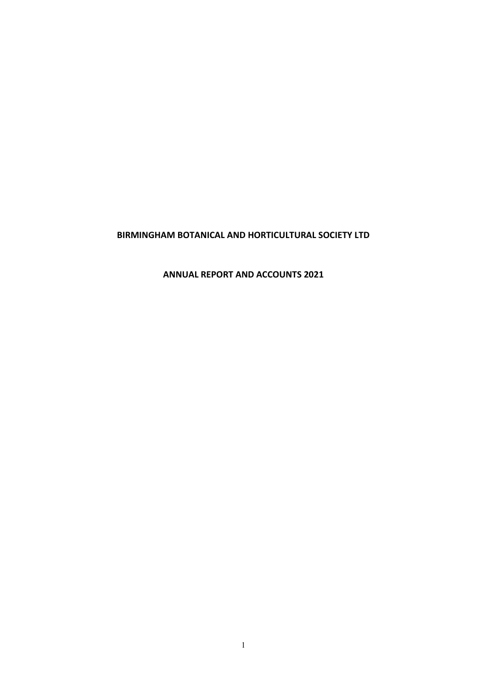**ANNUAL REPORT AND ACCOUNTS 2021**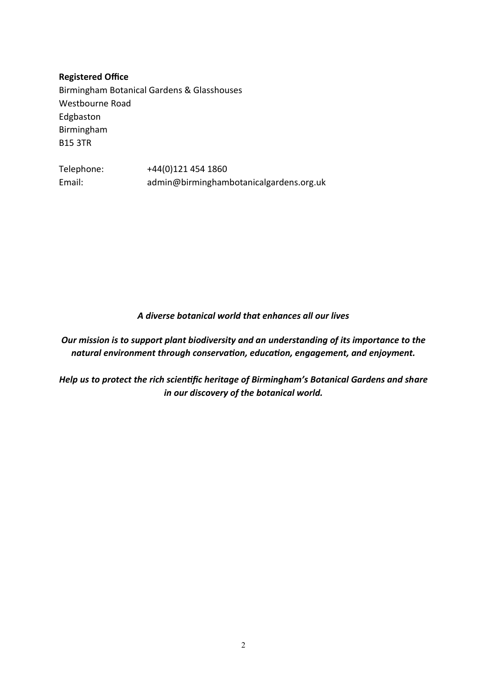**Registered Office** Birmingham Botanical Gardens & Glasshouses Westbourne Road Edgbaston Birmingham B15 3TR

Telephone: +44(0)121 454 1860 Email: [admin@birminghambotanicalgardens.org.uk](mailto:admin@birminghambotanicalgardens.org.uk)

*A diverse botanical world that enhances all our lives*

*Our mission is to support plant biodiversity and an understanding of its importance to the natural environment through conservation, education, engagement, and enjoyment.*

*Help us to protect the rich scientific heritage of Birmingham's Botanical Gardens and share in our discovery of the botanical world.*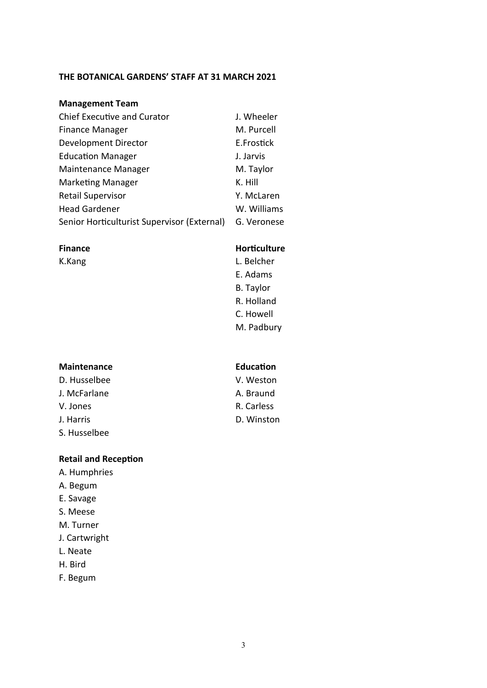# **THE BOTANICAL GARDENS' STAFF AT 31 MARCH 2021**

# **Management Team**

| <b>Chief Executive and Curator</b>          | J. Wheeler  |
|---------------------------------------------|-------------|
| <b>Finance Manager</b>                      | M. Purcell  |
| <b>Development Director</b>                 | E.Frostick  |
| <b>Education Manager</b>                    | J. Jarvis   |
| Maintenance Manager                         | M. Taylor   |
| <b>Marketing Manager</b>                    | K. Hill     |
| <b>Retail Supervisor</b>                    | Y. McLaren  |
| <b>Head Gardener</b>                        | W. Williams |
| Senior Horticulturist Supervisor (External) | G. Veronese |

### **Maintenance Education**

D. Husselbee V. Weston J. McFarlane A. Braund V. Jones R. Carless J. Harris D. Winston S. Husselbee

### **Retail and Reception**

- A. Humphries
- A. Begum
- E. Savage
- S. Meese
- M. Turner
- J. Cartwright
- L. Neate
- H. Bird
- F. Begum

# **Finance Horticulture**

K.Kang L. Belcher E. Adams B. Taylor R. Holland C. Howell M. Padbury

- 
- 
-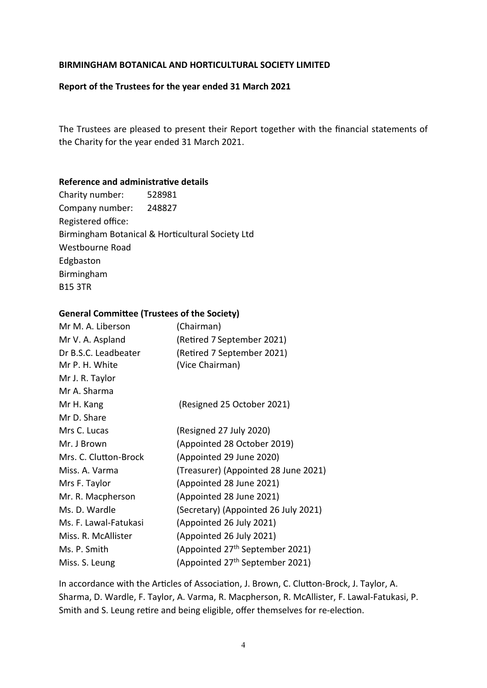### **Report of the Trustees for the year ended 31 March 2021**

The Trustees are pleased to present their Report together with the financial statements of the Charity for the year ended 31 March 2021.

### **Reference and administrative details**

Charity number: 528981 Company number: 248827 Registered office: Birmingham Botanical & Horticultural Society Ltd Westbourne Road Edgbaston Birmingham B15 3TR

### **General Committee (Trustees of the Society)**

| Mr M. A. Liberson     | (Chairman)                                  |
|-----------------------|---------------------------------------------|
| Mr V. A. Aspland      | (Retired 7 September 2021)                  |
| Dr B.S.C. Leadbeater  | (Retired 7 September 2021)                  |
| Mr P. H. White        | (Vice Chairman)                             |
| Mr J. R. Taylor       |                                             |
| Mr A. Sharma          |                                             |
| Mr H. Kang            | (Resigned 25 October 2021)                  |
| Mr D. Share           |                                             |
| Mrs C. Lucas          | (Resigned 27 July 2020)                     |
| Mr. J Brown           | (Appointed 28 October 2019)                 |
| Mrs. C. Clutton-Brock | (Appointed 29 June 2020)                    |
| Miss. A. Varma        | (Treasurer) (Appointed 28 June 2021)        |
| Mrs F. Taylor         | (Appointed 28 June 2021)                    |
| Mr. R. Macpherson     | (Appointed 28 June 2021)                    |
| Ms. D. Wardle         | (Secretary) (Appointed 26 July 2021)        |
| Ms. F. Lawal-Fatukasi | (Appointed 26 July 2021)                    |
| Miss. R. McAllister   | (Appointed 26 July 2021)                    |
| Ms. P. Smith          | (Appointed 27 <sup>th</sup> September 2021) |
| Miss. S. Leung        | (Appointed 27 <sup>th</sup> September 2021) |
|                       |                                             |

In accordance with the Articles of Association, J. Brown, C. Clutton-Brock, J. Taylor, A. Sharma, D. Wardle, F. Taylor, A. Varma, R. Macpherson, R. McAllister, F. Lawal-Fatukasi, P. Smith and S. Leung retire and being eligible, offer themselves for re-election.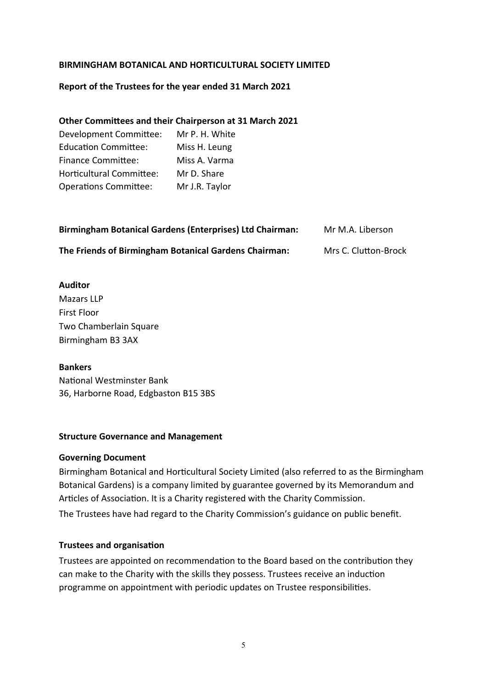# **Report of the Trustees for the year ended 31 March 2021**

# **Other Committees and their Chairperson at 31 March 2021**

Development Committee: Mr P. H. White Education Committee: Miss H. Leung Finance Committee: Miss A. Varma Horticultural Committee: Mr D. Share Operations Committee: Mr J.R. Taylor

| Birmingham Botanical Gardens (Enterprises) Ltd Chairman: | Mr M.A. Liberson     |
|----------------------------------------------------------|----------------------|
| The Friends of Birmingham Botanical Gardens Chairman:    | Mrs C. Clutton-Brock |

# **Auditor**

Mazars LLP First Floor Two Chamberlain Square Birmingham B3 3AX

# **Bankers**

National Westminster Bank 36, Harborne Road, Edgbaston B15 3BS

# **Structure Governance and Management**

# **Governing Document**

Birmingham Botanical and Horticultural Society Limited (also referred to as the Birmingham Botanical Gardens) is a company limited by guarantee governed by its Memorandum and Articles of Association. It is a Charity registered with the Charity Commission. The Trustees have had regard to the Charity Commission's guidance on public benefit.

# **Trustees and organisation**

Trustees are appointed on recommendation to the Board based on the contribution they can make to the Charity with the skills they possess. Trustees receive an induction programme on appointment with periodic updates on Trustee responsibilities.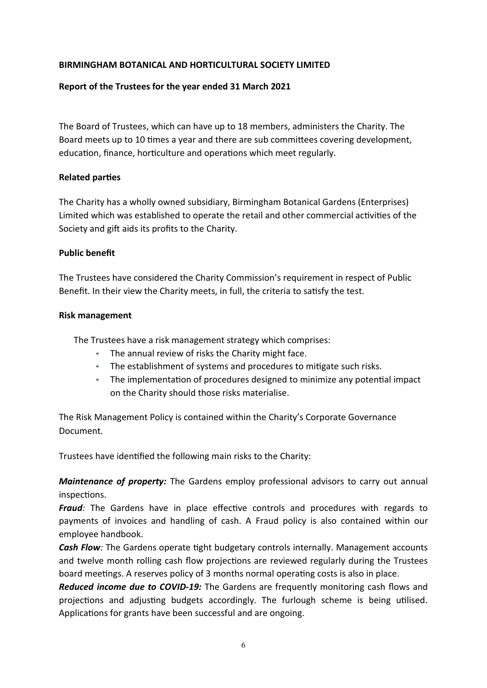# **Report of the Trustees for the year ended 31 March 2021**

The Board of Trustees, which can have up to 18 members, administers the Charity. The Board meets up to 10 times a year and there are sub committees covering development, education, finance, horticulture and operations which meet regularly.

# **Related parties**

The Charity has a wholly owned subsidiary, Birmingham Botanical Gardens (Enterprises) Limited which was established to operate the retail and other commercial activities of the Society and gift aids its profits to the Charity.

# **Public benefit**

The Trustees have considered the Charity Commission's requirement in respect of Public Benefit. In their view the Charity meets, in full, the criteria to satisfy the test.

# **Risk management**

The Trustees have a risk management strategy which comprises:

- The annual review of risks the Charity might face.
- The establishment of systems and procedures to mitigate such risks.
- The implementation of procedures designed to minimize any potential impact on the Charity should those risks materialise.

The Risk Management Policy is contained within the Charity's Corporate Governance Document.

Trustees have identified the following main risks to the Charity:

*Maintenance of property:* The Gardens employ professional advisors to carry out annual inspections.

*Fraud:* The Gardens have in place effective controls and procedures with regards to payments of invoices and handling of cash. A Fraud policy is also contained within our employee handbook.

*Cash Flow:* The Gardens operate tight budgetary controls internally. Management accounts and twelve month rolling cash flow projections are reviewed regularly during the Trustees board meetings. A reserves policy of 3 months normal operating costs is also in place.

*Reduced income due to COVID-19:* The Gardens are frequently monitoring cash flows and projections and adjusting budgets accordingly. The furlough scheme is being utilised. Applications for grants have been successful and are ongoing.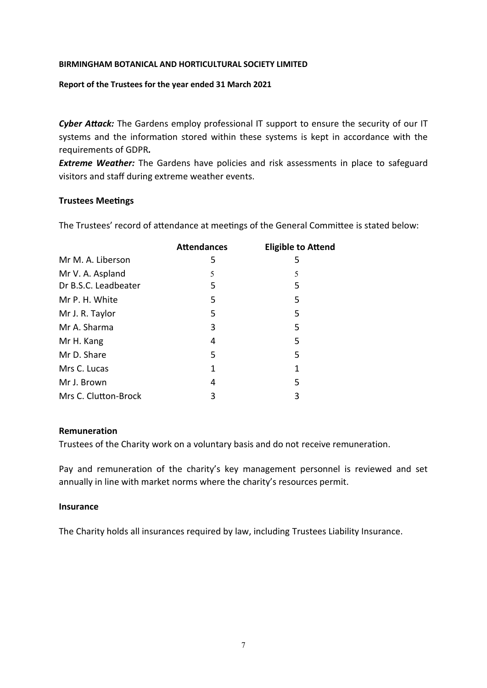### **Report of the Trustees for the year ended 31 March 2021**

*Cyber Attack:* The Gardens employ professional IT support to ensure the security of our IT systems and the information stored within these systems is kept in accordance with the requirements of GDPR*.* 

**Extreme Weather:** The Gardens have policies and risk assessments in place to safeguard visitors and staff during extreme weather events.

### **Trustees Meetings**

The Trustees' record of attendance at meetings of the General Committee is stated below:

| <b>Attendances</b> | <b>Eligible to Attend</b> |
|--------------------|---------------------------|
| 5                  | 5                         |
| 5                  | 5                         |
| 5                  | 5                         |
| 5                  | 5                         |
| 5                  | 5                         |
| 3                  | 5                         |
| 4                  | 5                         |
| 5                  | 5                         |
| 1                  | 1                         |
| 4                  | 5                         |
| 3                  | 3                         |
|                    |                           |

### **Remuneration**

Trustees of the Charity work on a voluntary basis and do not receive remuneration.

Pay and remuneration of the charity's key management personnel is reviewed and set annually in line with market norms where the charity's resources permit.

### **Insurance**

The Charity holds all insurances required by law, including Trustees Liability Insurance.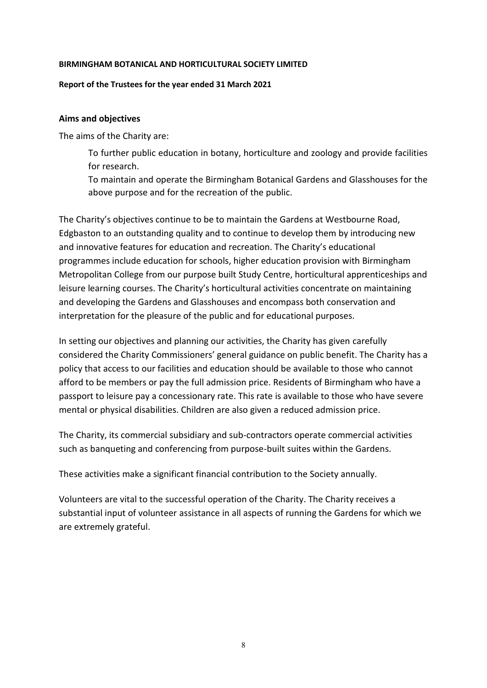### **Report of the Trustees for the year ended 31 March 2021**

### **Aims and objectives**

The aims of the Charity are:

To further public education in botany, horticulture and zoology and provide facilities for research.

To maintain and operate the Birmingham Botanical Gardens and Glasshouses for the above purpose and for the recreation of the public.

The Charity's objectives continue to be to maintain the Gardens at Westbourne Road, Edgbaston to an outstanding quality and to continue to develop them by introducing new and innovative features for education and recreation. The Charity's educational programmes include education for schools, higher education provision with Birmingham Metropolitan College from our purpose built Study Centre, horticultural apprenticeships and leisure learning courses. The Charity's horticultural activities concentrate on maintaining and developing the Gardens and Glasshouses and encompass both conservation and interpretation for the pleasure of the public and for educational purposes.

In setting our objectives and planning our activities, the Charity has given carefully considered the Charity Commissioners' general guidance on public benefit. The Charity has a policy that access to our facilities and education should be available to those who cannot afford to be members or pay the full admission price. Residents of Birmingham who have a passport to leisure pay a concessionary rate. This rate is available to those who have severe mental or physical disabilities. Children are also given a reduced admission price.

The Charity, its commercial subsidiary and sub-contractors operate commercial activities such as banqueting and conferencing from purpose-built suites within the Gardens.

These activities make a significant financial contribution to the Society annually.

Volunteers are vital to the successful operation of the Charity. The Charity receives a substantial input of volunteer assistance in all aspects of running the Gardens for which we are extremely grateful.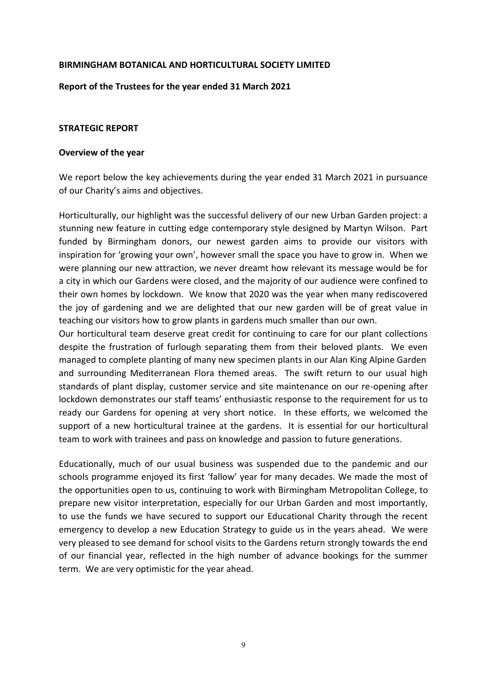### **Report of the Trustees for the year ended 31 March 2021**

### **STRATEGIC REPORT**

### **Overview of the year**

We report below the key achievements during the year ended 31 March 2021 in pursuance of our Charity's aims and objectives.

Horticulturally, our highlight was the successful delivery of our new Urban Garden project: a stunning new feature in cutting edge contemporary style designed by Martyn Wilson. Part funded by Birmingham donors, our newest garden aims to provide our visitors with inspiration for 'growing your own', however small the space you have to grow in. When we were planning our new attraction, we never dreamt how relevant its message would be for a city in which our Gardens were closed, and the majority of our audience were confined to their own homes by lockdown. We know that 2020 was the year when many rediscovered the joy of gardening and we are delighted that our new garden will be of great value in teaching our visitors how to grow plants in gardens much smaller than our own.

Our horticultural team deserve great credit for continuing to care for our plant collections despite the frustration of furlough separating them from their beloved plants. We even managed to complete planting of many new specimen plants in our Alan King Alpine Garden and surrounding Mediterranean Flora themed areas. The swift return to our usual high standards of plant display, customer service and site maintenance on our re-opening after lockdown demonstrates our staff teams' enthusiastic response to the requirement for us to ready our Gardens for opening at very short notice. In these efforts, we welcomed the support of a new horticultural trainee at the gardens. It is essential for our horticultural team to work with trainees and pass on knowledge and passion to future generations.

Educationally, much of our usual business was suspended due to the pandemic and our schools programme enjoyed its first 'fallow' year for many decades. We made the most of the opportunities open to us, continuing to work with Birmingham Metropolitan College, to prepare new visitor interpretation, especially for our Urban Garden and most importantly, to use the funds we have secured to support our Educational Charity through the recent emergency to develop a new Education Strategy to guide us in the years ahead. We were very pleased to see demand for school visits to the Gardens return strongly towards the end of our financial year, reflected in the high number of advance bookings for the summer term. We are very optimistic for the year ahead.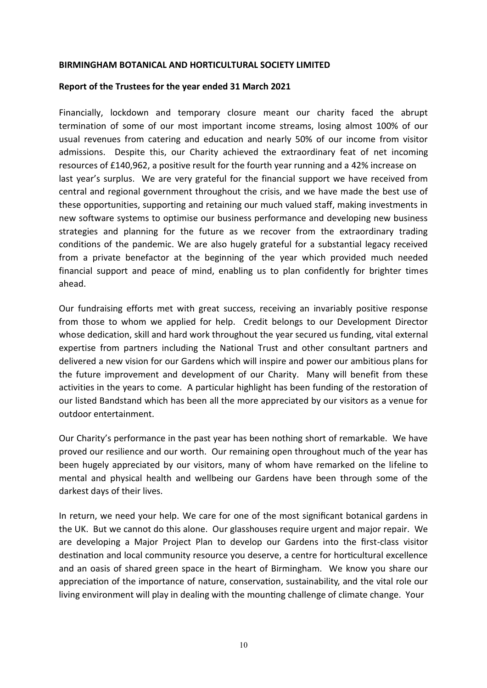### **Report of the Trustees for the year ended 31 March 2021**

Financially, lockdown and temporary closure meant our charity faced the abrupt termination of some of our most important income streams, losing almost 100% of our usual revenues from catering and education and nearly 50% of our income from visitor admissions. Despite this, our Charity achieved the extraordinary feat of net incoming resources of £140,962, a positive result for the fourth year running and a 42% increase on last year's surplus. We are very grateful for the financial support we have received from central and regional government throughout the crisis, and we have made the best use of these opportunities, supporting and retaining our much valued staff, making investments in new software systems to optimise our business performance and developing new business strategies and planning for the future as we recover from the extraordinary trading conditions of the pandemic. We are also hugely grateful for a substantial legacy received from a private benefactor at the beginning of the year which provided much needed financial support and peace of mind, enabling us to plan confidently for brighter times ahead.

Our fundraising efforts met with great success, receiving an invariably positive response from those to whom we applied for help. Credit belongs to our Development Director whose dedication, skill and hard work throughout the year secured us funding, vital external expertise from partners including the National Trust and other consultant partners and delivered a new vision for our Gardens which will inspire and power our ambitious plans for the future improvement and development of our Charity. Many will benefit from these activities in the years to come. A particular highlight has been funding of the restoration of our listed Bandstand which has been all the more appreciated by our visitors as a venue for outdoor entertainment.

Our Charity's performance in the past year has been nothing short of remarkable. We have proved our resilience and our worth. Our remaining open throughout much of the year has been hugely appreciated by our visitors, many of whom have remarked on the lifeline to mental and physical health and wellbeing our Gardens have been through some of the darkest days of their lives.

In return, we need your help. We care for one of the most significant botanical gardens in the UK. But we cannot do this alone. Our glasshouses require urgent and major repair. We are developing a Major Project Plan to develop our Gardens into the first-class visitor destination and local community resource you deserve, a centre for horticultural excellence and an oasis of shared green space in the heart of Birmingham. We know you share our appreciation of the importance of nature, conservation, sustainability, and the vital role our living environment will play in dealing with the mounting challenge of climate change. Your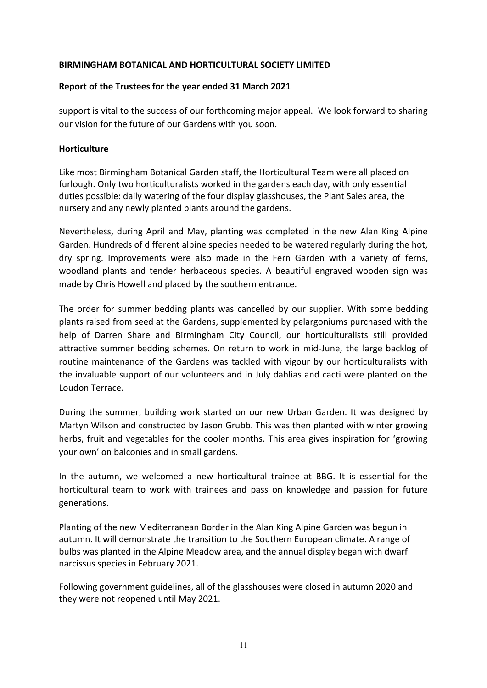# **Report of the Trustees for the year ended 31 March 2021**

support is vital to the success of our forthcoming major appeal. We look forward to sharing our vision for the future of our Gardens with you soon.

# **Horticulture**

Like most Birmingham Botanical Garden staff, the Horticultural Team were all placed on furlough. Only two horticulturalists worked in the gardens each day, with only essential duties possible: daily watering of the four display glasshouses, the Plant Sales area, the nursery and any newly planted plants around the gardens.

Nevertheless, during April and May, planting was completed in the new Alan King Alpine Garden. Hundreds of different alpine species needed to be watered regularly during the hot, dry spring. Improvements were also made in the Fern Garden with a variety of ferns, woodland plants and tender herbaceous species. A beautiful engraved wooden sign was made by Chris Howell and placed by the southern entrance.

The order for summer bedding plants was cancelled by our supplier. With some bedding plants raised from seed at the Gardens, supplemented by pelargoniums purchased with the help of Darren Share and Birmingham City Council, our horticulturalists still provided attractive summer bedding schemes. On return to work in mid-June, the large backlog of routine maintenance of the Gardens was tackled with vigour by our horticulturalists with the invaluable support of our volunteers and in July dahlias and cacti were planted on the Loudon Terrace.

During the summer, building work started on our new Urban Garden. It was designed by Martyn Wilson and constructed by Jason Grubb. This was then planted with winter growing herbs, fruit and vegetables for the cooler months. This area gives inspiration for 'growing your own' on balconies and in small gardens.

In the autumn, we welcomed a new horticultural trainee at BBG. It is essential for the horticultural team to work with trainees and pass on knowledge and passion for future generations.

Planting of the new Mediterranean Border in the Alan King Alpine Garden was begun in autumn. It will demonstrate the transition to the Southern European climate. A range of bulbs was planted in the Alpine Meadow area, and the annual display began with dwarf narcissus species in February 2021.

Following government guidelines, all of the glasshouses were closed in autumn 2020 and they were not reopened until May 2021.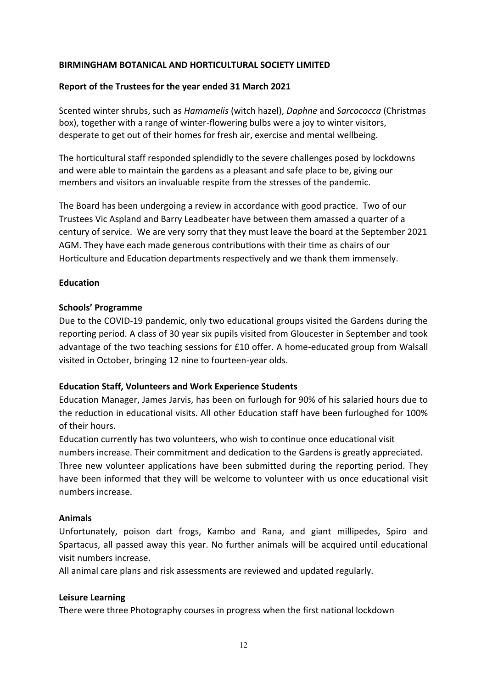# **Report of the Trustees for the year ended 31 March 2021**

Scented winter shrubs, such as *Hamamelis* (witch hazel), *Daphne* and *Sarcococca* (Christmas box), together with a range of winter-flowering bulbs were a joy to winter visitors, desperate to get out of their homes for fresh air, exercise and mental wellbeing.

The horticultural staff responded splendidly to the severe challenges posed by lockdowns and were able to maintain the gardens as a pleasant and safe place to be, giving our members and visitors an invaluable respite from the stresses of the pandemic.

The Board has been undergoing a review in accordance with good practice. Two of our Trustees Vic Aspland and Barry Leadbeater have between them amassed a quarter of a century of service. We are very sorry that they must leave the board at the September 2021 AGM. They have each made generous contributions with their time as chairs of our Horticulture and Education departments respectively and we thank them immensely.

# **Education**

# **Schools' Programme**

Due to the COVID-19 pandemic, only two educational groups visited the Gardens during the reporting period. A class of 30 year six pupils visited from Gloucester in September and took advantage of the two teaching sessions for £10 offer. A home-educated group from Walsall visited in October, bringing 12 nine to fourteen-year olds.

# **Education Staff, Volunteers and Work Experience Students**

Education Manager, James Jarvis, has been on furlough for 90% of his salaried hours due to the reduction in educational visits. All other Education staff have been furloughed for 100% of their hours.

Education currently has two volunteers, who wish to continue once educational visit numbers increase. Their commitment and dedication to the Gardens is greatly appreciated. Three new volunteer applications have been submitted during the reporting period. They have been informed that they will be welcome to volunteer with us once educational visit numbers increase.

# **Animals**

Unfortunately, poison dart frogs, Kambo and Rana, and giant millipedes, Spiro and Spartacus, all passed away this year. No further animals will be acquired until educational visit numbers increase.

All animal care plans and risk assessments are reviewed and updated regularly.

# **Leisure Learning**

There were three Photography courses in progress when the first national lockdown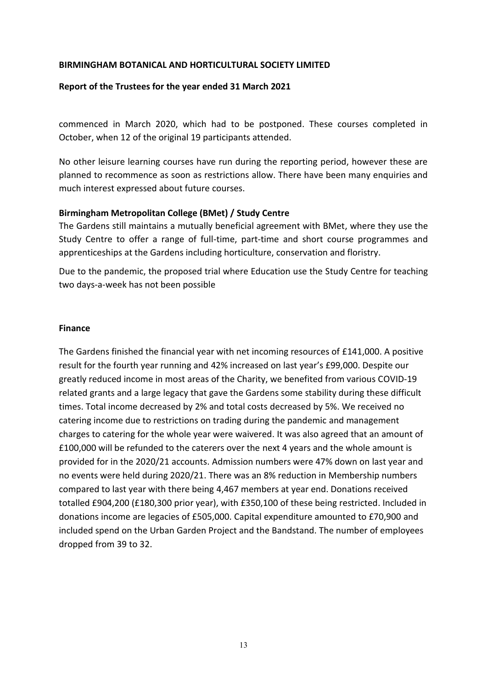### **Report of the Trustees for the year ended 31 March 2021**

commenced in March 2020, which had to be postponed. These courses completed in October, when 12 of the original 19 participants attended.

No other leisure learning courses have run during the reporting period, however these are planned to recommence as soon as restrictions allow. There have been many enquiries and much interest expressed about future courses.

### **Birmingham Metropolitan College (BMet) / Study Centre**

The Gardens still maintains a mutually beneficial agreement with BMet, where they use the Study Centre to offer a range of full-time, part-time and short course programmes and apprenticeships at the Gardens including horticulture, conservation and floristry.

Due to the pandemic, the proposed trial where Education use the Study Centre for teaching two days-a-week has not been possible

### **Finance**

The Gardens finished the financial year with net incoming resources of £141,000. A positive result for the fourth year running and 42% increased on last year's £99,000. Despite our greatly reduced income in most areas of the Charity, we benefited from various COVID-19 related grants and a large legacy that gave the Gardens some stability during these difficult times. Total income decreased by 2% and total costs decreased by 5%. We received no catering income due to restrictions on trading during the pandemic and management charges to catering for the whole year were waivered. It was also agreed that an amount of £100,000 will be refunded to the caterers over the next 4 years and the whole amount is provided for in the 2020/21 accounts. Admission numbers were 47% down on last year and no events were held during 2020/21. There was an 8% reduction in Membership numbers compared to last year with there being 4,467 members at year end. Donations received totalled £904,200 (£180,300 prior year), with £350,100 of these being restricted. Included in donations income are legacies of £505,000. Capital expenditure amounted to £70,900 and included spend on the Urban Garden Project and the Bandstand. The number of employees dropped from 39 to 32.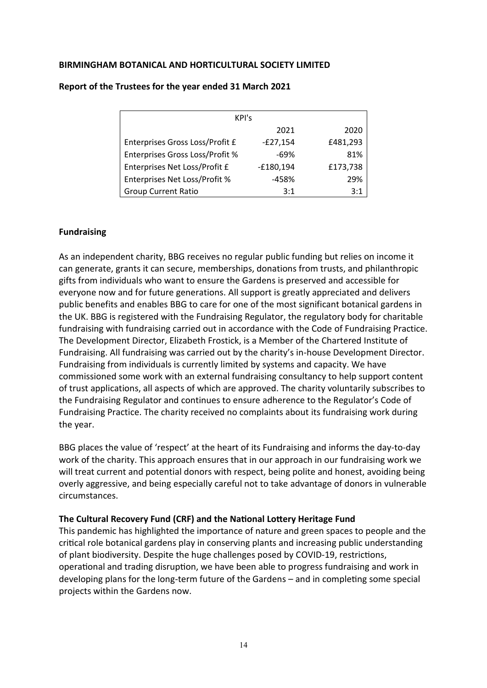| KPI's                                  |             |          |  |  |  |  |
|----------------------------------------|-------------|----------|--|--|--|--|
| 2021<br>2020                           |             |          |  |  |  |  |
| Enterprises Gross Loss/Profit £        | $-E27,154$  | £481,293 |  |  |  |  |
| <b>Enterprises Gross Loss/Profit %</b> | $-69%$      | 81%      |  |  |  |  |
| Enterprises Net Loss/Profit £          | $-£180,194$ | £173,738 |  |  |  |  |
| <b>Enterprises Net Loss/Profit %</b>   | $-458%$     | 29%      |  |  |  |  |
| <b>Group Current Ratio</b>             | 3:1         | 3:1      |  |  |  |  |

### **Report of the Trustees for the year ended 31 March 2021**

# **Fundraising**

As an independent charity, BBG receives no regular public funding but relies on income it can generate, grants it can secure, memberships, donations from trusts, and philanthropic gifts from individuals who want to ensure the Gardens is preserved and accessible for everyone now and for future generations. All support is greatly appreciated and delivers public benefits and enables BBG to care for one of the most significant botanical gardens in the UK. BBG is registered with the Fundraising Regulator, the regulatory body for charitable fundraising with fundraising carried out in accordance with the Code of Fundraising Practice. The Development Director, Elizabeth Frostick, is a Member of the Chartered Institute of Fundraising. All fundraising was carried out by the charity's in-house Development Director. Fundraising from individuals is currently limited by systems and capacity. We have commissioned some work with an external fundraising consultancy to help support content of trust applications, all aspects of which are approved. The charity voluntarily subscribes to the Fundraising Regulator and continues to ensure adherence to the Regulator's Code of Fundraising Practice. The charity received no complaints about its fundraising work during the year.

BBG places the value of 'respect' at the heart of its Fundraising and informs the day-to-day work of the charity. This approach ensures that in our approach in our fundraising work we will treat current and potential donors with respect, being polite and honest, avoiding being overly aggressive, and being especially careful not to take advantage of donors in vulnerable circumstances.

# **The Cultural Recovery Fund (CRF) and the National Lottery Heritage Fund**

This pandemic has highlighted the importance of nature and green spaces to people and the critical role botanical gardens play in conserving plants and increasing public understanding of plant biodiversity. Despite the huge challenges posed by COVID-19, restrictions, operational and trading disruption, we have been able to progress fundraising and work in developing plans for the long-term future of the Gardens – and in completing some special projects within the Gardens now.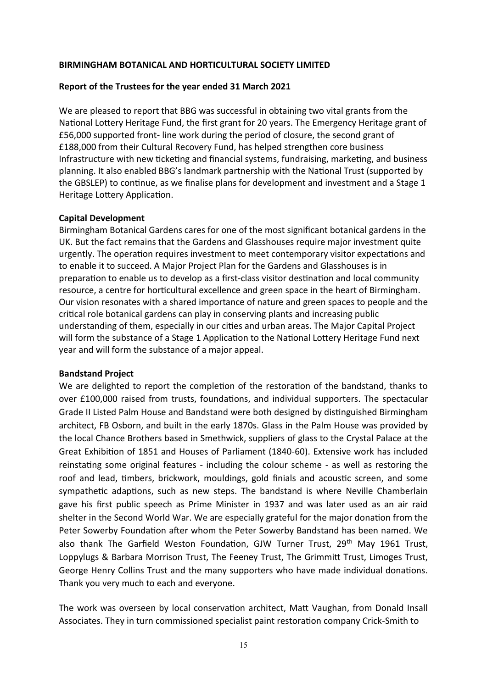# **Report of the Trustees for the year ended 31 March 2021**

We are pleased to report that BBG was successful in obtaining two vital grants from the National Lottery Heritage Fund, the first grant for 20 years. The Emergency Heritage grant of £56,000 supported front- line work during the period of closure, the second grant of £188,000 from their Cultural Recovery Fund, has helped strengthen core business Infrastructure with new ticketing and financial systems, fundraising, marketing, and business planning. It also enabled BBG's landmark partnership with the National Trust (supported by the GBSLEP) to continue, as we finalise plans for development and investment and a Stage 1 Heritage Lottery Application.

# **Capital Development**

Birmingham Botanical Gardens cares for one of the most significant botanical gardens in the UK. But the fact remains that the Gardens and Glasshouses require major investment quite urgently. The operation requires investment to meet contemporary visitor expectations and to enable it to succeed. A Major Project Plan for the Gardens and Glasshouses is in preparation to enable us to develop as a first-class visitor destination and local community resource, a centre for horticultural excellence and green space in the heart of Birmingham. Our vision resonates with a shared importance of nature and green spaces to people and the critical role botanical gardens can play in conserving plants and increasing public understanding of them, especially in our cities and urban areas. The Major Capital Project will form the substance of a Stage 1 Application to the National Lottery Heritage Fund next year and will form the substance of a major appeal.

# **Bandstand Project**

We are delighted to report the completion of the restoration of the bandstand, thanks to over £100,000 raised from trusts, foundations, and individual supporters. The spectacular Grade II Listed Palm House and Bandstand were both designed by distinguished Birmingham architect, FB Osborn, and built in the early 1870s. Glass in the Palm House was provided by the local Chance Brothers based in Smethwick, suppliers of glass to the Crystal Palace at the Great Exhibition of 1851 and Houses of Parliament (1840-60). Extensive work has included reinstating some original features - including the colour scheme - as well as restoring the roof and lead, timbers, brickwork, mouldings, gold finials and acoustic screen, and some sympathetic adaptions, such as new steps. The bandstand is where Neville Chamberlain gave his first public speech as Prime Minister in 1937 and was later used as an air raid shelter in the Second World War. We are especially grateful for the major donation from the Peter Sowerby Foundation after whom the Peter Sowerby Bandstand has been named. We also thank The Garfield Weston Foundation, GJW Turner Trust, 29<sup>th</sup> May 1961 Trust, Loppylugs & Barbara Morrison Trust, The Feeney Trust, The Grimmitt Trust, Limoges Trust, George Henry Collins Trust and the many supporters who have made individual donations. Thank you very much to each and everyone.

The work was overseen by local conservation architect, Matt Vaughan, from Donald Insall Associates. They in turn commissioned specialist paint restoration company Crick-Smith to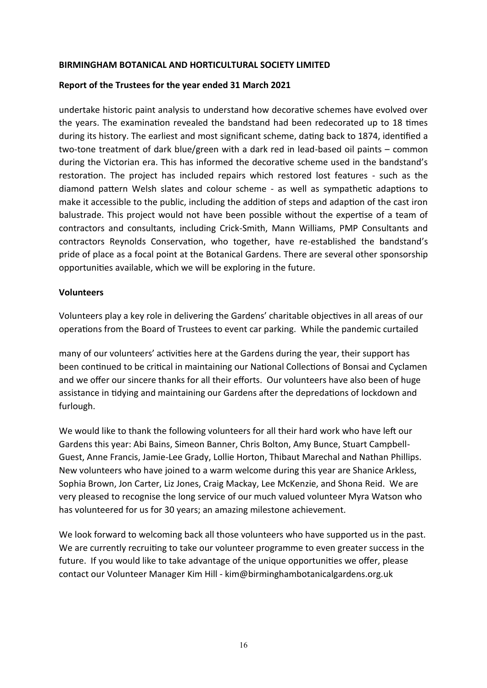# **Report of the Trustees for the year ended 31 March 2021**

undertake historic paint analysis to understand how decorative schemes have evolved over the years. The examination revealed the bandstand had been redecorated up to 18 times during its history. The earliest and most significant scheme, dating back to 1874, identified a two-tone treatment of dark blue/green with a dark red in lead-based oil paints – common during the Victorian era. This has informed the decorative scheme used in the bandstand's restoration. The project has included repairs which restored lost features - such as the diamond pattern Welsh slates and colour scheme - as well as sympathetic adaptions to make it accessible to the public, including the addition of steps and adaption of the cast iron balustrade. This project would not have been possible without the expertise of a team of contractors and consultants, including Crick-Smith, Mann Williams, PMP Consultants and contractors Reynolds Conservation, who together, have re-established the bandstand's pride of place as a focal point at the Botanical Gardens. There are several other sponsorship opportunities available, which we will be exploring in the future.

# **Volunteers**

Volunteers play a key role in delivering the Gardens' charitable objectives in all areas of our operations from the Board of Trustees to event car parking. While the pandemic curtailed

many of our volunteers' activities here at the Gardens during the year, their support has been continued to be critical in maintaining our National Collections of Bonsai and Cyclamen and we offer our sincere thanks for all their efforts. Our volunteers have also been of huge assistance in tidying and maintaining our Gardens after the depredations of lockdown and furlough.

We would like to thank the following volunteers for all their hard work who have left our Gardens this year: Abi Bains, Simeon Banner, Chris Bolton, Amy Bunce, Stuart Campbell-Guest, Anne Francis, Jamie-Lee Grady, Lollie Horton, Thibaut Marechal and Nathan Phillips. New volunteers who have joined to a warm welcome during this year are Shanice Arkless, Sophia Brown, Jon Carter, Liz Jones, Craig Mackay, Lee McKenzie, and Shona Reid. We are very pleased to recognise the long service of our much valued volunteer Myra Watson who has volunteered for us for 30 years; an amazing milestone achievement.

We look forward to welcoming back all those volunteers who have supported us in the past. We are currently recruiting to take our volunteer programme to even greater success in the future. If you would like to take advantage of the unique opportunities we offer, please contact our Volunteer Manager Kim Hill - [kim@birminghambotanicalgardens.org.uk](mailto:kim@birminghambotanicalgardens.org.uk)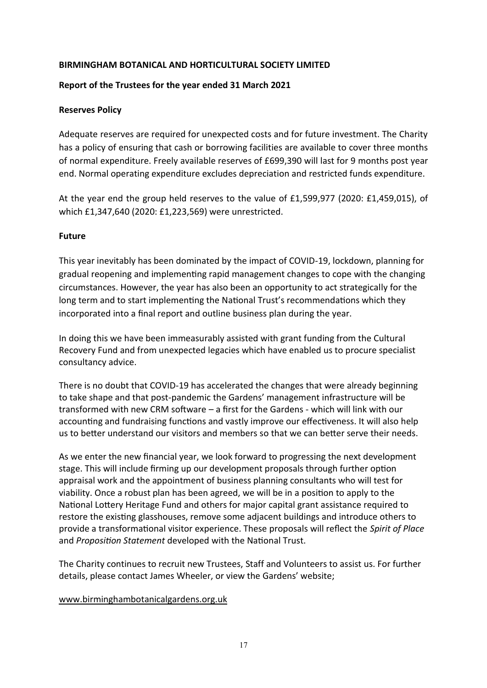# **Report of the Trustees for the year ended 31 March 2021**

# **Reserves Policy**

Adequate reserves are required for unexpected costs and for future investment. The Charity has a policy of ensuring that cash or borrowing facilities are available to cover three months of normal expenditure. Freely available reserves of £699,390 will last for 9 months post year end. Normal operating expenditure excludes depreciation and restricted funds expenditure.

At the year end the group held reserves to the value of £1,599,977 (2020: £1,459,015), of which £1,347,640 (2020: £1,223,569) were unrestricted.

# **Future**

This year inevitably has been dominated by the impact of COVID-19, lockdown, planning for gradual reopening and implementing rapid management changes to cope with the changing circumstances. However, the year has also been an opportunity to act strategically for the long term and to start implementing the National Trust's recommendations which they incorporated into a final report and outline business plan during the year.

In doing this we have been immeasurably assisted with grant funding from the Cultural Recovery Fund and from unexpected legacies which have enabled us to procure specialist consultancy advice.

There is no doubt that COVID-19 has accelerated the changes that were already beginning to take shape and that post-pandemic the Gardens' management infrastructure will be transformed with new CRM software – a first for the Gardens - which will link with our accounting and fundraising functions and vastly improve our effectiveness. It will also help us to better understand our visitors and members so that we can better serve their needs.

As we enter the new financial year, we look forward to progressing the next development stage. This will include firming up our development proposals through further option appraisal work and the appointment of business planning consultants who will test for viability. Once a robust plan has been agreed, we will be in a position to apply to the National Lottery Heritage Fund and others for major capital grant assistance required to restore the existing glasshouses, remove some adjacent buildings and introduce others to provide a transformational visitor experience. These proposals will reflect the *Spirit of Place* and *Proposition Statement* developed with the National Trust.

The Charity continues to recruit new Trustees, Staff and Volunteers to assist us. For further details, please contact James Wheeler, or view the Gardens' website;

# [www.birminghambotanicalgardens.org.uk](http://www.birminghambotanicalgardens.org.uk/)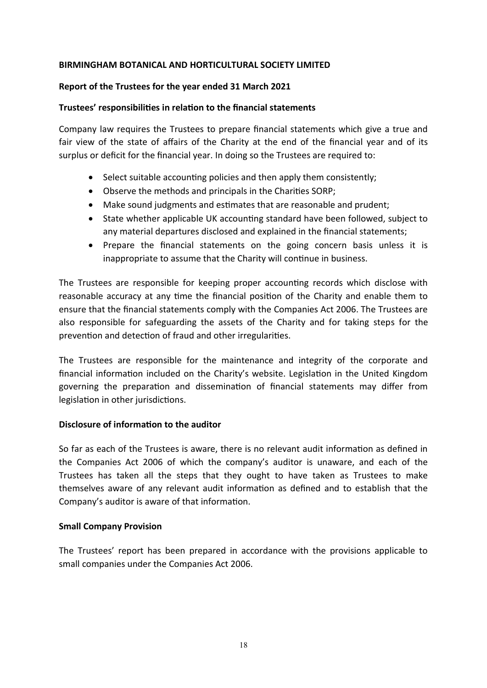# **Report of the Trustees for the year ended 31 March 2021**

# **Trustees' responsibilities in relation to the financial statements**

Company law requires the Trustees to prepare financial statements which give a true and fair view of the state of affairs of the Charity at the end of the financial year and of its surplus or deficit for the financial year. In doing so the Trustees are required to:

- Select suitable accounting policies and then apply them consistently;
- Observe the methods and principals in the Charities SORP;
- Make sound judgments and estimates that are reasonable and prudent;
- State whether applicable UK accounting standard have been followed, subject to any material departures disclosed and explained in the financial statements;
- Prepare the financial statements on the going concern basis unless it is inappropriate to assume that the Charity will continue in business.

The Trustees are responsible for keeping proper accounting records which disclose with reasonable accuracy at any time the financial position of the Charity and enable them to ensure that the financial statements comply with the Companies Act 2006. The Trustees are also responsible for safeguarding the assets of the Charity and for taking steps for the prevention and detection of fraud and other irregularities.

The Trustees are responsible for the maintenance and integrity of the corporate and financial information included on the Charity's website. Legislation in the United Kingdom governing the preparation and dissemination of financial statements may differ from legislation in other jurisdictions.

# **Disclosure of information to the auditor**

So far as each of the Trustees is aware, there is no relevant audit information as defined in the Companies Act 2006 of which the company's auditor is unaware, and each of the Trustees has taken all the steps that they ought to have taken as Trustees to make themselves aware of any relevant audit information as defined and to establish that the Company's auditor is aware of that information.

# **Small Company Provision**

The Trustees' report has been prepared in accordance with the provisions applicable to small companies under the Companies Act 2006.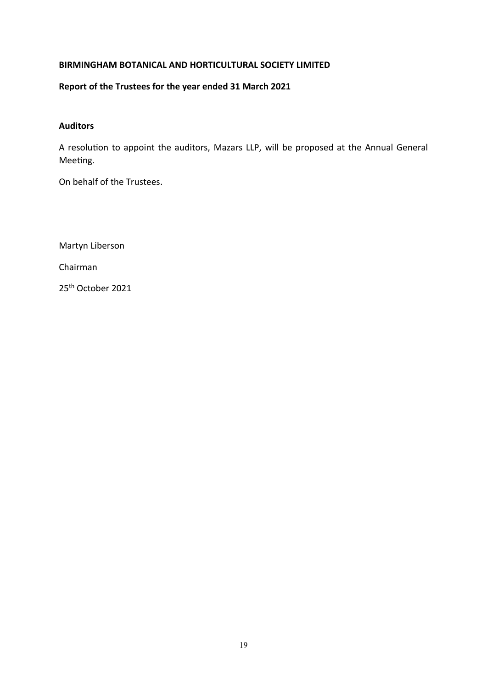# **Report of the Trustees for the year ended 31 March 2021**

# **Auditors**

A resolution to appoint the auditors, Mazars LLP, will be proposed at the Annual General Meeting.

On behalf of the Trustees.

Martyn Liberson Chairman 25th October 2021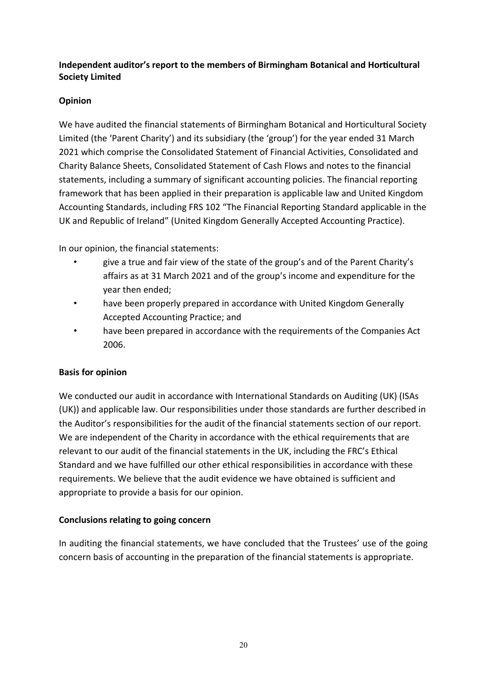# **Opinion**

We have audited the financial statements of Birmingham Botanical and Horticultural Society Limited (the 'Parent Charity') and its subsidiary (the 'group') for the year ended 31 March 2021 which comprise the Consolidated Statement of Financial Activities, Consolidated and Charity Balance Sheets, Consolidated Statement of Cash Flows and notes to the financial statements, including a summary of significant accounting policies. The financial reporting framework that has been applied in their preparation is applicable law and United Kingdom Accounting Standards, including FRS 102 "The Financial Reporting Standard applicable in the UK and Republic of Ireland" (United Kingdom Generally Accepted Accounting Practice).

In our opinion, the financial statements:

- give a true and fair view of the state of the group's and of the Parent Charity's affairs as at 31 March 2021 and of the group's income and expenditure for the year then ended;
- have been properly prepared in accordance with United Kingdom Generally Accepted Accounting Practice; and
- have been prepared in accordance with the requirements of the Companies Act 2006.

# **Basis for opinion**

We conducted our audit in accordance with International Standards on Auditing (UK) (ISAs (UK)) and applicable law. Our responsibilities under those standards are further described in the Auditor's responsibilities for the audit of the financial statements section of our report. We are independent of the Charity in accordance with the ethical requirements that are relevant to our audit of the financial statements in the UK, including the FRC's Ethical Standard and we have fulfilled our other ethical responsibilities in accordance with these requirements. We believe that the audit evidence we have obtained is sufficient and appropriate to provide a basis for our opinion.

# **Conclusions relating to going concern**

In auditing the financial statements, we have concluded that the Trustees' use of the going concern basis of accounting in the preparation of the financial statements is appropriate.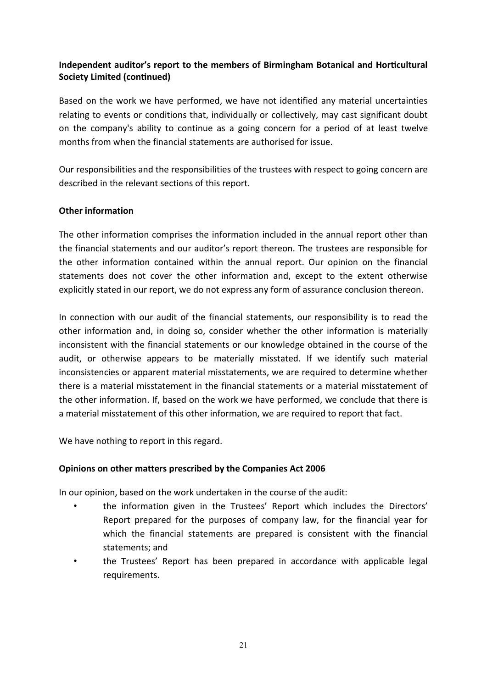Based on the work we have performed, we have not identified any material uncertainties relating to events or conditions that, individually or collectively, may cast significant doubt on the company's ability to continue as a going concern for a period of at least twelve months from when the financial statements are authorised for issue.

Our responsibilities and the responsibilities of the trustees with respect to going concern are described in the relevant sections of this report.

# **Other information**

The other information comprises the information included in the annual report other than the financial statements and our auditor's report thereon. The trustees are responsible for the other information contained within the annual report. Our opinion on the financial statements does not cover the other information and, except to the extent otherwise explicitly stated in our report, we do not express any form of assurance conclusion thereon.

In connection with our audit of the financial statements, our responsibility is to read the other information and, in doing so, consider whether the other information is materially inconsistent with the financial statements or our knowledge obtained in the course of the audit, or otherwise appears to be materially misstated. If we identify such material inconsistencies or apparent material misstatements, we are required to determine whether there is a material misstatement in the financial statements or a material misstatement of the other information. If, based on the work we have performed, we conclude that there is a material misstatement of this other information, we are required to report that fact.

We have nothing to report in this regard.

# **Opinions on other matters prescribed by the Companies Act 2006**

In our opinion, based on the work undertaken in the course of the audit:

- the information given in the Trustees' Report which includes the Directors' Report prepared for the purposes of company law, for the financial year for which the financial statements are prepared is consistent with the financial statements; and
- the Trustees' Report has been prepared in accordance with applicable legal requirements.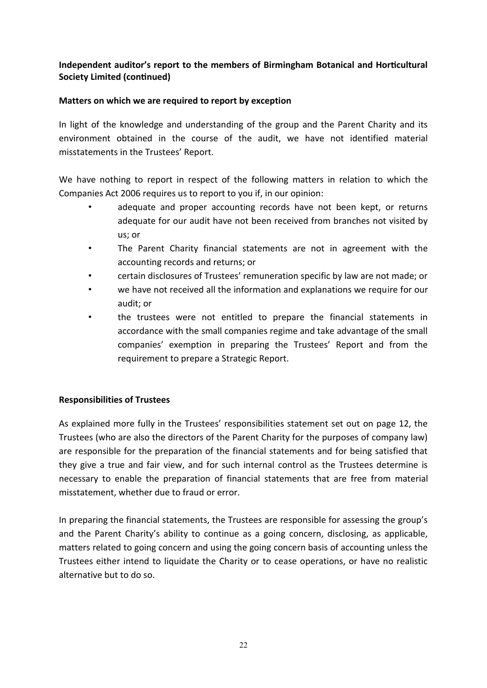# **Matters on which we are required to report by exception**

In light of the knowledge and understanding of the group and the Parent Charity and its environment obtained in the course of the audit, we have not identified material misstatements in the Trustees' Report.

We have nothing to report in respect of the following matters in relation to which the Companies Act 2006 requires us to report to you if, in our opinion:

- adequate and proper accounting records have not been kept, or returns adequate for our audit have not been received from branches not visited by us; or
- The Parent Charity financial statements are not in agreement with the accounting records and returns; or
- certain disclosures of Trustees' remuneration specific by law are not made; or
- we have not received all the information and explanations we require for our audit; or
- the trustees were not entitled to prepare the financial statements in accordance with the small companies regime and take advantage of the small companies' exemption in preparing the Trustees' Report and from the requirement to prepare a Strategic Report.

# **Responsibilities of Trustees**

As explained more fully in the Trustees' responsibilities statement set out on page 12, the Trustees (who are also the directors of the Parent Charity for the purposes of company law) are responsible for the preparation of the financial statements and for being satisfied that they give a true and fair view, and for such internal control as the Trustees determine is necessary to enable the preparation of financial statements that are free from material misstatement, whether due to fraud or error.

In preparing the financial statements, the Trustees are responsible for assessing the group's and the Parent Charity's ability to continue as a going concern, disclosing, as applicable, matters related to going concern and using the going concern basis of accounting unless the Trustees either intend to liquidate the Charity or to cease operations, or have no realistic alternative but to do so.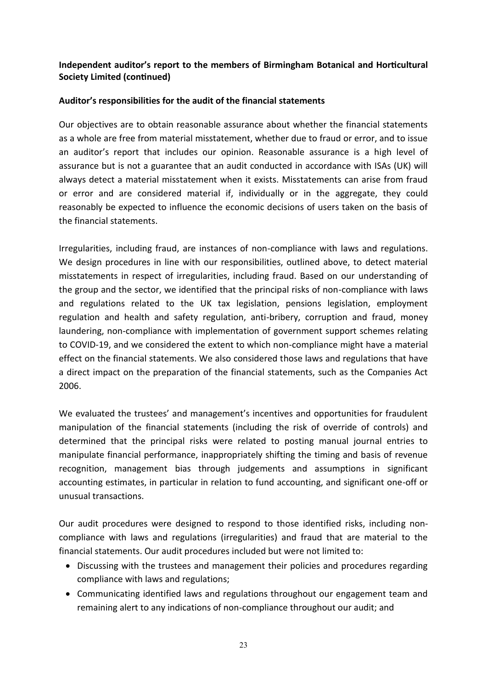# **Auditor's responsibilities for the audit of the financial statements**

Our objectives are to obtain reasonable assurance about whether the financial statements as a whole are free from material misstatement, whether due to fraud or error, and to issue an auditor's report that includes our opinion. Reasonable assurance is a high level of assurance but is not a guarantee that an audit conducted in accordance with ISAs (UK) will always detect a material misstatement when it exists. Misstatements can arise from fraud or error and are considered material if, individually or in the aggregate, they could reasonably be expected to influence the economic decisions of users taken on the basis of the financial statements.

Irregularities, including fraud, are instances of non-compliance with laws and regulations. We design procedures in line with our responsibilities, outlined above, to detect material misstatements in respect of irregularities, including fraud. Based on our understanding of the group and the sector, we identified that the principal risks of non-compliance with laws and regulations related to the UK tax legislation, pensions legislation, employment regulation and health and safety regulation, anti-bribery, corruption and fraud, money laundering, non-compliance with implementation of government support schemes relating to COVID-19, and we considered the extent to which non-compliance might have a material effect on the financial statements. We also considered those laws and regulations that have a direct impact on the preparation of the financial statements, such as the Companies Act 2006.

We evaluated the trustees' and management's incentives and opportunities for fraudulent manipulation of the financial statements (including the risk of override of controls) and determined that the principal risks were related to posting manual journal entries to manipulate financial performance, inappropriately shifting the timing and basis of revenue recognition, management bias through judgements and assumptions in significant accounting estimates, in particular in relation to fund accounting, and significant one-off or unusual transactions.

Our audit procedures were designed to respond to those identified risks, including noncompliance with laws and regulations (irregularities) and fraud that are material to the financial statements. Our audit procedures included but were not limited to:

- Discussing with the trustees and management their policies and procedures regarding compliance with laws and regulations;
- Communicating identified laws and regulations throughout our engagement team and remaining alert to any indications of non-compliance throughout our audit; and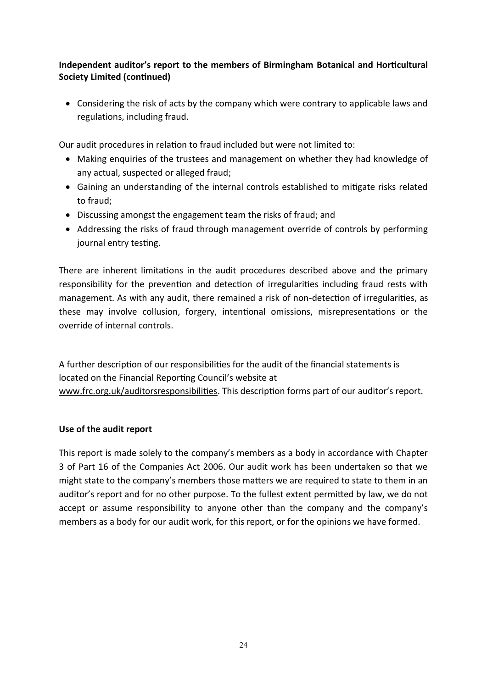• Considering the risk of acts by the company which were contrary to applicable laws and regulations, including fraud.

Our audit procedures in relation to fraud included but were not limited to:

- Making enquiries of the trustees and management on whether they had knowledge of any actual, suspected or alleged fraud;
- Gaining an understanding of the internal controls established to mitigate risks related to fraud;
- Discussing amongst the engagement team the risks of fraud; and
- Addressing the risks of fraud through management override of controls by performing journal entry testing.

There are inherent limitations in the audit procedures described above and the primary responsibility for the prevention and detection of irregularities including fraud rests with management. As with any audit, there remained a risk of non-detection of irregularities, as these may involve collusion, forgery, intentional omissions, misrepresentations or the override of internal controls.

A further description of our responsibilities for the audit of the financial statements is located on the Financial Reporting Council's website at [www.frc.org.uk/auditorsresponsibilities.](http://www.frc.org.uk/auditorsresponsibilities) This description forms part of our auditor's report.

# **Use of the audit report**

This report is made solely to the company's members as a body in accordance with Chapter 3 of Part 16 of the Companies Act 2006. Our audit work has been undertaken so that we might state to the company's members those matters we are required to state to them in an auditor's report and for no other purpose. To the fullest extent permitted by law, we do not accept or assume responsibility to anyone other than the company and the company's members as a body for our audit work, for this report, or for the opinions we have formed.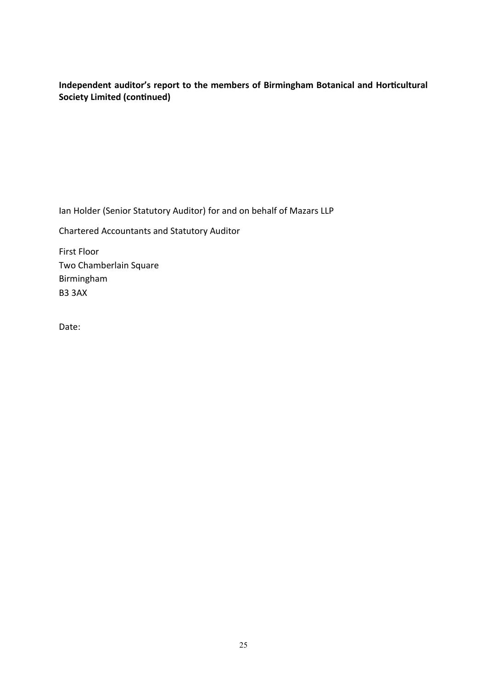Ian Holder (Senior Statutory Auditor) for and on behalf of Mazars LLP

Chartered Accountants and Statutory Auditor

First Floor Two Chamberlain Square Birmingham B3 3AX

Date: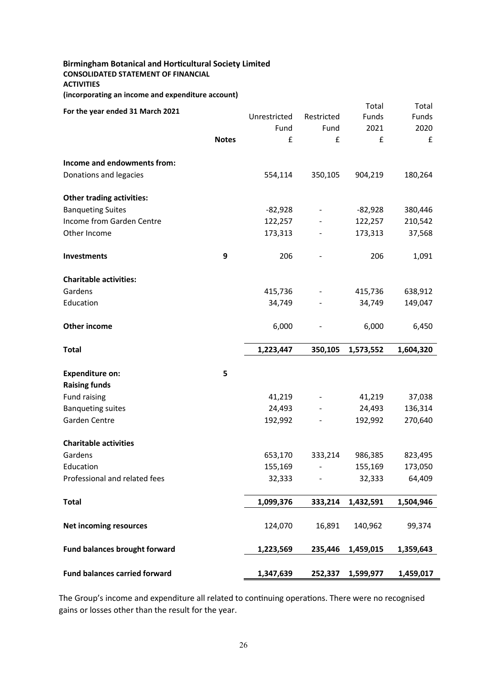# **Birmingham Botanical and Horticultural Society Limited CONSOLIDATED STATEMENT OF FINANCIAL ACTIVITIES**

| (incorporating an income and expenditure account) |  |  |  |
|---------------------------------------------------|--|--|--|
|---------------------------------------------------|--|--|--|

|                                           |              |                   |                | Total             | Total              |
|-------------------------------------------|--------------|-------------------|----------------|-------------------|--------------------|
| For the year ended 31 March 2021          |              | Unrestricted      | Restricted     | Funds             | Funds              |
|                                           |              | Fund              | Fund           | 2021              | 2020               |
|                                           | <b>Notes</b> | £                 | £              | £                 | £                  |
| Income and endowments from:               |              |                   |                |                   |                    |
| Donations and legacies                    |              | 554,114           | 350,105        | 904,219           | 180,264            |
| <b>Other trading activities:</b>          |              |                   |                |                   |                    |
| <b>Banqueting Suites</b>                  |              | $-82,928$         | $\blacksquare$ | $-82,928$         | 380,446            |
| Income from Garden Centre                 |              | 122,257           |                | 122,257           | 210,542            |
| Other Income                              |              | 173,313           |                | 173,313           | 37,568             |
| Investments                               | 9            | 206               |                | 206               | 1,091              |
| <b>Charitable activities:</b>             |              |                   |                |                   |                    |
| Gardens                                   |              | 415,736           |                | 415,736           | 638,912            |
| Education                                 |              | 34,749            |                | 34,749            | 149,047            |
| Other income                              |              | 6,000             |                | 6,000             | 6,450              |
| <b>Total</b>                              |              | 1,223,447         | 350,105        | 1,573,552         | 1,604,320          |
| <b>Expenditure on:</b>                    | 5            |                   |                |                   |                    |
|                                           |              |                   |                |                   |                    |
|                                           |              |                   |                |                   |                    |
| <b>Raising funds</b>                      |              |                   |                |                   |                    |
| <b>Fund raising</b>                       |              | 41,219            |                | 41,219            | 37,038             |
| <b>Banqueting suites</b><br>Garden Centre |              | 24,493<br>192,992 |                | 24,493<br>192,992 | 136,314<br>270,640 |
| <b>Charitable activities</b>              |              |                   |                |                   |                    |
| Gardens                                   |              | 653,170           | 333,214        | 986,385           | 823,495            |
| Education                                 |              | 155,169           |                | 155,169           | 173,050            |
| Professional and related fees             |              | 32,333            |                | 32,333            | 64,409             |
| <b>Total</b>                              |              | 1,099,376         | 333,214        | 1,432,591         | 1,504,946          |
|                                           |              |                   |                |                   |                    |
| <b>Net incoming resources</b>             |              | 124,070           | 16,891         | 140,962           | 99,374             |
| <b>Fund balances brought forward</b>      |              | 1,223,569         | 235,446        | 1,459,015         | 1,359,643          |

The Group's income and expenditure all related to continuing operations. There were no recognised gains or losses other than the result for the year.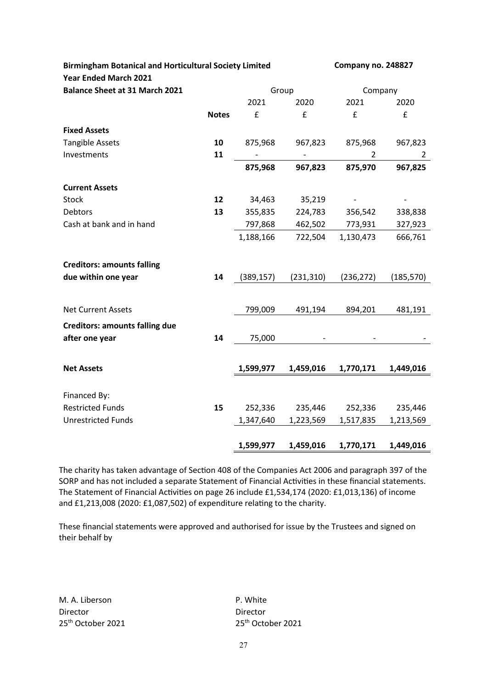| <b>Birmingham Botanical and Horticultural Society Limited</b> | Company no. 248827 |            |            |            |                |  |
|---------------------------------------------------------------|--------------------|------------|------------|------------|----------------|--|
| <b>Year Ended March 2021</b>                                  |                    |            |            |            |                |  |
| <b>Balance Sheet at 31 March 2021</b>                         |                    |            | Group      | Company    |                |  |
|                                                               |                    | 2021       | 2020       | 2021       | 2020           |  |
|                                                               | <b>Notes</b>       | £          | £          | £          | £              |  |
| <b>Fixed Assets</b>                                           |                    |            |            |            |                |  |
| <b>Tangible Assets</b>                                        | 10                 | 875,968    | 967,823    | 875,968    | 967,823        |  |
| Investments                                                   | 11                 |            |            | 2          | $\overline{2}$ |  |
|                                                               |                    | 875,968    | 967,823    | 875,970    | 967,825        |  |
| <b>Current Assets</b>                                         |                    |            |            |            |                |  |
| <b>Stock</b>                                                  | 12                 | 34,463     | 35,219     |            |                |  |
| <b>Debtors</b>                                                | 13                 | 355,835    | 224,783    | 356,542    | 338,838        |  |
| Cash at bank and in hand                                      |                    | 797,868    | 462,502    | 773,931    | 327,923        |  |
|                                                               |                    | 1,188,166  | 722,504    | 1,130,473  | 666,761        |  |
| <b>Creditors: amounts falling</b>                             |                    |            |            |            |                |  |
| due within one year                                           | 14                 | (389, 157) | (231, 310) | (236, 272) | (185, 570)     |  |
|                                                               |                    |            |            |            |                |  |
| <b>Net Current Assets</b>                                     |                    | 799,009    | 491,194    | 894,201    | 481,191        |  |
| <b>Creditors: amounts falling due</b>                         |                    |            |            |            |                |  |
| after one year                                                | 14                 | 75,000     |            |            |                |  |
|                                                               |                    |            |            |            |                |  |
| <b>Net Assets</b>                                             |                    | 1,599,977  | 1,459,016  | 1,770,171  | 1,449,016      |  |
|                                                               |                    |            |            |            |                |  |
| Financed By:                                                  |                    |            |            |            |                |  |
| <b>Restricted Funds</b>                                       | 15                 | 252,336    | 235,446    | 252,336    | 235,446        |  |
| <b>Unrestricted Funds</b>                                     |                    | 1,347,640  | 1,223,569  | 1,517,835  | 1,213,569      |  |
|                                                               |                    |            |            |            |                |  |
|                                                               |                    | 1,599,977  | 1,459,016  | 1,770,171  | 1,449,016      |  |

The charity has taken advantage of Section 408 of the Companies Act 2006 and paragraph 397 of the SORP and has not included a separate Statement of Financial Activities in these financial statements. The Statement of Financial Activities on page 26 include £1,534,174 (2020: £1,013,136) of income and £1,213,008 (2020: £1,087,502) of expenditure relating to the charity.

These financial statements were approved and authorised for issue by the Trustees and signed on their behalf by

M. A. Liberson **P. White** Director Director 25<sup>th</sup> October 2021 25<sup>th</sup> October 2021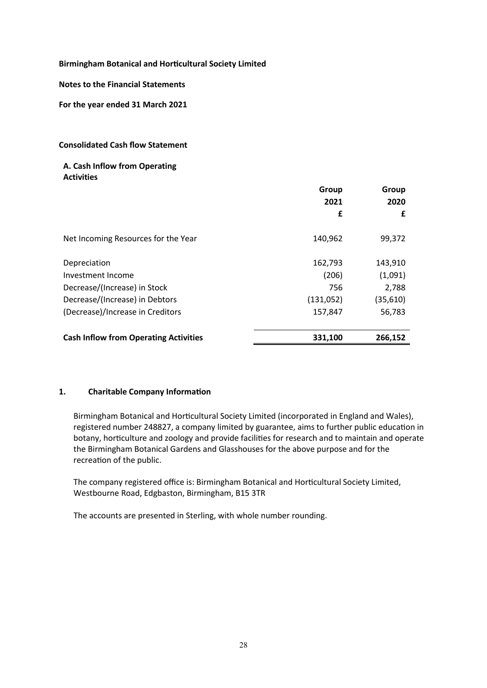### **Notes to the Financial Statements**

**For the year ended 31 March 2021**

### **Consolidated Cash flow Statement**

### **A. Cash Inflow from Operating Activities**

|                                              | Group<br>2021 | Group<br>2020 |
|----------------------------------------------|---------------|---------------|
|                                              | £             | £             |
| Net Incoming Resources for the Year          | 140,962       | 99,372        |
| Depreciation                                 | 162,793       | 143,910       |
| Investment Income                            | (206)         | (1,091)       |
| Decrease/(Increase) in Stock                 | 756           | 2,788         |
| Decrease/(Increase) in Debtors               | (131,052)     | (35, 610)     |
| (Decrease)/Increase in Creditors             | 157,847       | 56,783        |
| <b>Cash Inflow from Operating Activities</b> | 331,100       | 266,152       |

### **1. Charitable Company Information**

Birmingham Botanical and Horticultural Society Limited (incorporated in England and Wales), registered number 248827, a company limited by guarantee, aims to further public education in botany, horticulture and zoology and provide facilities for research and to maintain and operate the Birmingham Botanical Gardens and Glasshouses for the above purpose and for the recreation of the public.

The company registered office is: Birmingham Botanical and Horticultural Society Limited, Westbourne Road, Edgbaston, Birmingham, B15 3TR

The accounts are presented in Sterling, with whole number rounding.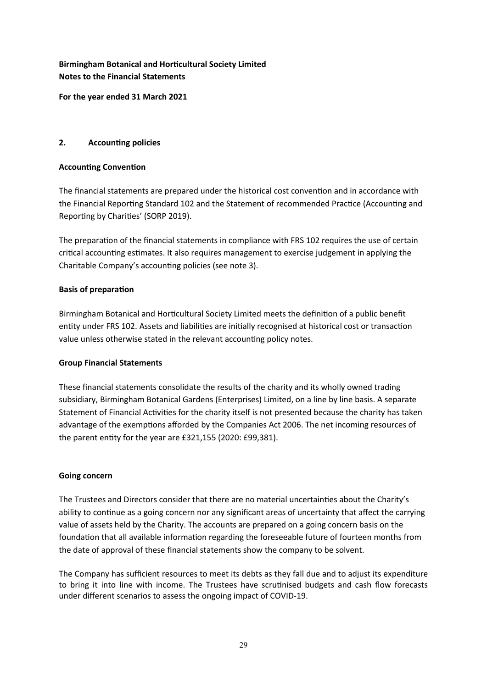# **Birmingham Botanical and Horticultural Society Limited Notes to the Financial Statements**

**For the year ended 31 March 2021**

# **2. Accounting policies**

# **Accounting Convention**

The financial statements are prepared under the historical cost convention and in accordance with the Financial Reporting Standard 102 and the Statement of recommended Practice (Accounting and Reporting by Charities' (SORP 2019).

The preparation of the financial statements in compliance with FRS 102 requires the use of certain critical accounting estimates. It also requires management to exercise judgement in applying the Charitable Company's accounting policies (see note 3).

# **Basis of preparation**

Birmingham Botanical and Horticultural Society Limited meets the definition of a public benefit entity under FRS 102. Assets and liabilities are initially recognised at historical cost or transaction value unless otherwise stated in the relevant accounting policy notes.

# **Group Financial Statements**

These financial statements consolidate the results of the charity and its wholly owned trading subsidiary, Birmingham Botanical Gardens (Enterprises) Limited, on a line by line basis. A separate Statement of Financial Activities for the charity itself is not presented because the charity has taken advantage of the exemptions afforded by the Companies Act 2006. The net incoming resources of the parent entity for the year are £321,155 (2020: £99,381).

### **Going concern**

The Trustees and Directors consider that there are no material uncertainties about the Charity's ability to continue as a going concern nor any significant areas of uncertainty that affect the carrying value of assets held by the Charity. The accounts are prepared on a going concern basis on the foundation that all available information regarding the foreseeable future of fourteen months from the date of approval of these financial statements show the company to be solvent.

The Company has sufficient resources to meet its debts as they fall due and to adjust its expenditure to bring it into line with income. The Trustees have scrutinised budgets and cash flow forecasts under different scenarios to assess the ongoing impact of COVID-19.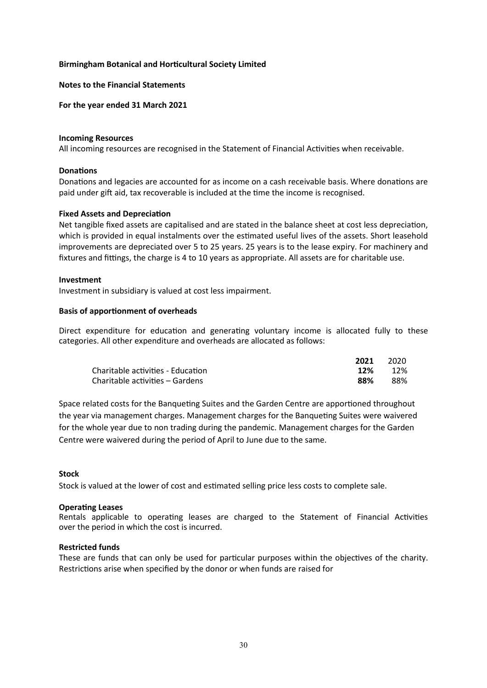#### **Notes to the Financial Statements**

#### **For the year ended 31 March 2021**

#### **Incoming Resources**

All incoming resources are recognised in the Statement of Financial Activities when receivable.

### **Donations**

Donations and legacies are accounted for as income on a cash receivable basis. Where donations are paid under gift aid, tax recoverable is included at the time the income is recognised.

#### **Fixed Assets and Depreciation**

Net tangible fixed assets are capitalised and are stated in the balance sheet at cost less depreciation, which is provided in equal instalments over the estimated useful lives of the assets. Short leasehold improvements are depreciated over 5 to 25 years. 25 years is to the lease expiry. For machinery and fixtures and fittings, the charge is 4 to 10 years as appropriate. All assets are for charitable use.

#### **Investment**

Investment in subsidiary is valued at cost less impairment.

#### **Basis of apportionment of overheads**

Direct expenditure for education and generating voluntary income is allocated fully to these categories. All other expenditure and overheads are allocated as follows:

|                                   | 2021 | 2020 |
|-----------------------------------|------|------|
| Charitable activities - Education | 12%  | 12%  |
| Charitable activities – Gardens   | 88%  | 88%  |

Space related costs for the Banqueting Suites and the Garden Centre are apportioned throughout the year via management charges. Management charges for the Banqueting Suites were waivered for the whole year due to non trading during the pandemic. Management charges for the Garden Centre were waivered during the period of April to June due to the same.

#### **Stock**

Stock is valued at the lower of cost and estimated selling price less costs to complete sale.

#### **Operating Leases**

Rentals applicable to operating leases are charged to the Statement of Financial Activities over the period in which the cost is incurred.

#### **Restricted funds**

These are funds that can only be used for particular purposes within the objectives of the charity. Restrictions arise when specified by the donor or when funds are raised for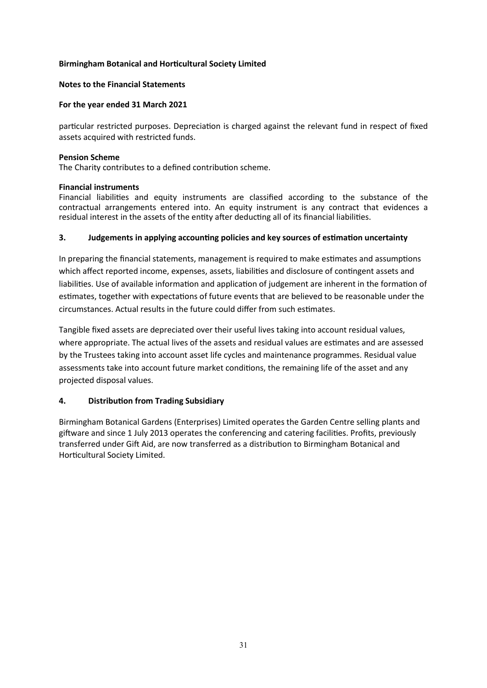### **Notes to the Financial Statements**

### **For the year ended 31 March 2021**

particular restricted purposes. Depreciation is charged against the relevant fund in respect of fixed assets acquired with restricted funds.

#### **Pension Scheme**

The Charity contributes to a defined contribution scheme.

### **Financial instruments**

Financial liabilities and equity instruments are classified according to the substance of the contractual arrangements entered into. An equity instrument is any contract that evidences a residual interest in the assets of the entity after deducting all of its financial liabilities.

### **3. Judgements in applying accounting policies and key sources of estimation uncertainty**

In preparing the financial statements, management is required to make estimates and assumptions which affect reported income, expenses, assets, liabilities and disclosure of contingent assets and liabilities. Use of available information and application of judgement are inherent in the formation of estimates, together with expectations of future events that are believed to be reasonable under the circumstances. Actual results in the future could differ from such estimates.

Tangible fixed assets are depreciated over their useful lives taking into account residual values, where appropriate. The actual lives of the assets and residual values are estimates and are assessed by the Trustees taking into account asset life cycles and maintenance programmes. Residual value assessments take into account future market conditions, the remaining life of the asset and any projected disposal values.

### **4. Distribution from Trading Subsidiary**

Birmingham Botanical Gardens (Enterprises) Limited operates the Garden Centre selling plants and giftware and since 1 July 2013 operates the conferencing and catering facilities. Profits, previously transferred under Gift Aid, are now transferred as a distribution to Birmingham Botanical and Horticultural Society Limited.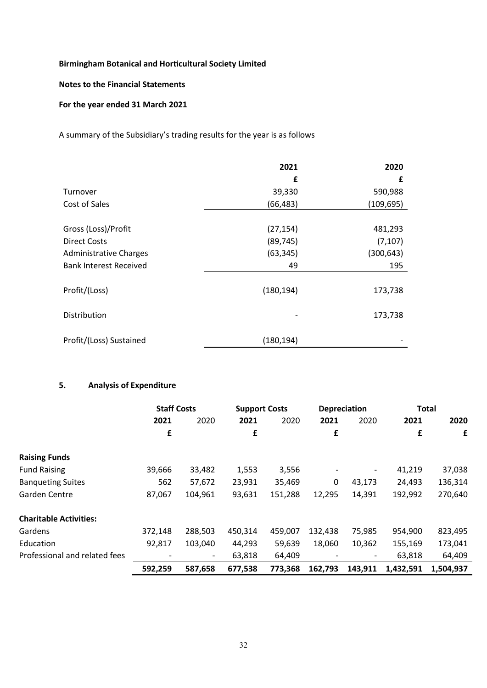### **Notes to the Financial Statements**

### **For the year ended 31 March 2021**

A summary of the Subsidiary's trading results for the year is as follows

|                               | 2021       | 2020       |
|-------------------------------|------------|------------|
|                               | £          | £          |
| Turnover                      | 39,330     | 590,988    |
| Cost of Sales                 | (66, 483)  | (109, 695) |
|                               |            |            |
| Gross (Loss)/Profit           | (27, 154)  | 481,293    |
| <b>Direct Costs</b>           | (89, 745)  | (7, 107)   |
| <b>Administrative Charges</b> | (63, 345)  | (300, 643) |
| <b>Bank Interest Received</b> | 49         | 195        |
|                               |            |            |
| Profit/(Loss)                 | (180, 194) | 173,738    |
|                               |            |            |
| Distribution                  |            | 173,738    |
|                               |            |            |
| Profit/(Loss) Sustained       | (180, 194) |            |

# **5. Analysis of Expenditure**

|                               | <b>Staff Costs</b> |                          | <b>Support Costs</b> |         |         | <b>Depreciation</b> | <b>Total</b> |           |
|-------------------------------|--------------------|--------------------------|----------------------|---------|---------|---------------------|--------------|-----------|
|                               | 2021               | 2020                     | 2021                 | 2020    | 2021    | 2020                | 2021         | 2020      |
|                               | £                  |                          | £                    |         | £       |                     | £            | £         |
| <b>Raising Funds</b>          |                    |                          |                      |         |         |                     |              |           |
| <b>Fund Raising</b>           | 39,666             | 33,482                   | 1,553                | 3,556   |         |                     | 41,219       | 37,038    |
| <b>Banqueting Suites</b>      | 562                | 57,672                   | 23,931               | 35,469  | 0       | 43,173              | 24,493       | 136,314   |
| Garden Centre                 | 87,067             | 104,961                  | 93,631               | 151,288 | 12,295  | 14,391              | 192,992      | 270,640   |
| <b>Charitable Activities:</b> |                    |                          |                      |         |         |                     |              |           |
| Gardens                       | 372,148            | 288,503                  | 450,314              | 459,007 | 132,438 | 75,985              | 954,900      | 823,495   |
| Education                     | 92,817             | 103,040                  | 44,293               | 59,639  | 18,060  | 10,362              | 155,169      | 173,041   |
| Professional and related fees |                    | $\overline{\phantom{a}}$ | 63,818               | 64,409  |         |                     | 63,818       | 64,409    |
|                               | 592,259            | 587,658                  | 677,538              | 773,368 | 162,793 | 143,911             | 1,432,591    | 1,504,937 |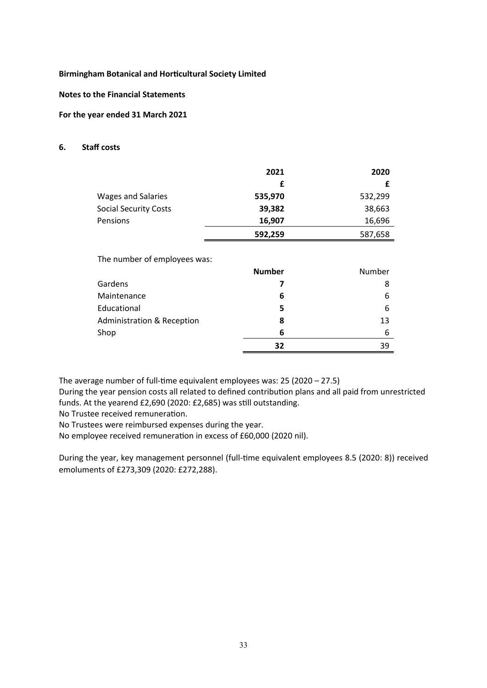**Notes to the Financial Statements**

### **For the year ended 31 March 2021**

#### **6. Staff costs**

|                              | 2021    | 2020    |
|------------------------------|---------|---------|
|                              |         |         |
| <b>Wages and Salaries</b>    | 535,970 | 532,299 |
| <b>Social Security Costs</b> | 39,382  | 38,663  |
| Pensions                     | 16,907  | 16,696  |
|                              | 592,259 | 587,658 |

The number of employees was:

|                                       | <b>Number</b> | Number |
|---------------------------------------|---------------|--------|
| Gardens                               |               | 8      |
| Maintenance                           | 6             | 6      |
| Educational                           | 5             | 6      |
| <b>Administration &amp; Reception</b> | 8             | 13     |
| Shop                                  | 6             | 6      |
|                                       | 32            | 39     |

The average number of full-time equivalent employees was: 25 (2020 – 27.5)

During the year pension costs all related to defined contribution plans and all paid from unrestricted funds. At the yearend £2,690 (2020: £2,685) was still outstanding.

No Trustee received remuneration.

No Trustees were reimbursed expenses during the year.

No employee received remuneration in excess of £60,000 (2020 nil).

During the year, key management personnel (full-time equivalent employees 8.5 (2020: 8)) received emoluments of £273,309 (2020: £272,288).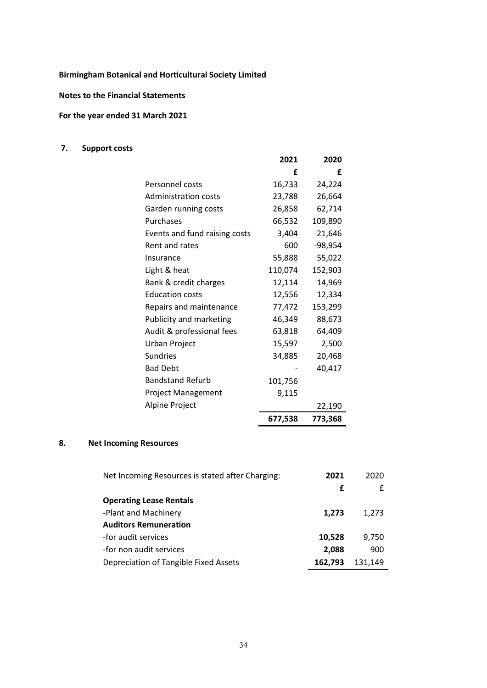**Notes to the Financial Statements**

# **For the year ended 31 March 2021**

# **7. Support costs**

|                               | 2021    | 2020      |
|-------------------------------|---------|-----------|
|                               | f       | f         |
| Personnel costs               | 16,733  | 24,224    |
| <b>Administration costs</b>   | 23,788  | 26,664    |
| Garden running costs          | 26,858  | 62,714    |
| Purchases                     | 66,532  | 109,890   |
| Events and fund raising costs | 3,404   | 21,646    |
| Rent and rates                | 600     | $-98,954$ |
| Insurance                     | 55,888  | 55,022    |
| Light & heat                  | 110,074 | 152,903   |
| Bank & credit charges         | 12,114  | 14,969    |
| <b>Education costs</b>        | 12,556  | 12,334    |
| Repairs and maintenance       | 77,472  | 153,299   |
| Publicity and marketing       | 46,349  | 88,673    |
| Audit & professional fees     | 63,818  | 64,409    |
| Urban Project                 | 15,597  | 2,500     |
| <b>Sundries</b>               | 34,885  | 20,468    |
| <b>Bad Debt</b>               |         | 40,417    |
| <b>Bandstand Refurb</b>       | 101,756 |           |
| <b>Project Management</b>     | 9,115   |           |
| Alpine Project                |         | 22,190    |
|                               | 677,538 | 773,368   |

# **8. Net Incoming Resources**

| Net Incoming Resources is stated after Charging: | 2021    | 2020    |
|--------------------------------------------------|---------|---------|
|                                                  | £       | £       |
| <b>Operating Lease Rentals</b>                   |         |         |
| -Plant and Machinery                             | 1,273   | 1,273   |
| <b>Auditors Remuneration</b>                     |         |         |
| -for audit services                              | 10,528  | 9,750   |
| -for non audit services                          | 2,088   | 900     |
| Depreciation of Tangible Fixed Assets            | 162,793 | 131,149 |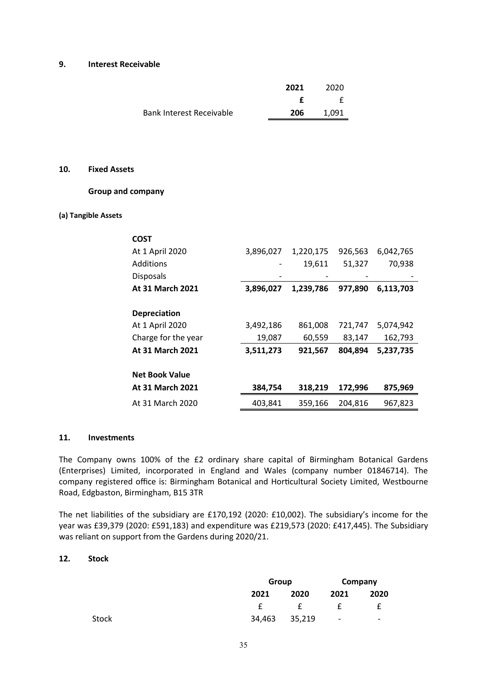#### **9. Interest Receivable**

|                                 | 2021 | 2020  |
|---------------------------------|------|-------|
|                                 |      |       |
| <b>Bank Interest Receivable</b> | 206  | 1.091 |

### **10. Fixed Assets**

### **Group and company**

#### **(a) Tangible Assets**

| <b>COST</b>             |           |           |         |           |
|-------------------------|-----------|-----------|---------|-----------|
| At 1 April 2020         | 3,896,027 | 1,220,175 | 926,563 | 6,042,765 |
| Additions               |           | 19,611    | 51,327  | 70,938    |
| <b>Disposals</b>        |           |           |         |           |
| <b>At 31 March 2021</b> | 3,896,027 | 1,239,786 | 977,890 | 6,113,703 |
|                         |           |           |         |           |
| <b>Depreciation</b>     |           |           |         |           |
| At 1 April 2020         | 3,492,186 | 861,008   | 721,747 | 5,074,942 |
| Charge for the year     | 19,087    | 60,559    | 83,147  | 162,793   |
| <b>At 31 March 2021</b> | 3,511,273 | 921,567   | 804,894 | 5,237,735 |
|                         |           |           |         |           |
| <b>Net Book Value</b>   |           |           |         |           |
| <b>At 31 March 2021</b> | 384,754   | 318,219   | 172,996 | 875,969   |
| At 31 March 2020        | 403,841   | 359,166   | 204.816 | 967,823   |

### **11. Investments**

The Company owns 100% of the £2 ordinary share capital of Birmingham Botanical Gardens (Enterprises) Limited, incorporated in England and Wales (company number 01846714). The company registered office is: Birmingham Botanical and Horticultural Society Limited, Westbourne Road, Edgbaston, Birmingham, B15 3TR

The net liabilities of the subsidiary are £170,192 (2020: £10,002). The subsidiary's income for the year was £39,379 (2020: £591,183) and expenditure was £219,573 (2020: £417,445). The Subsidiary was reliant on support from the Gardens during 2020/21.

### **12. Stock**

|       |        | Group  |                          | Company |
|-------|--------|--------|--------------------------|---------|
|       | 2021   | 2020   | 2021                     | 2020    |
|       |        |        |                          |         |
| Stock | 34,463 | 35,219 | $\overline{\phantom{a}}$ | -       |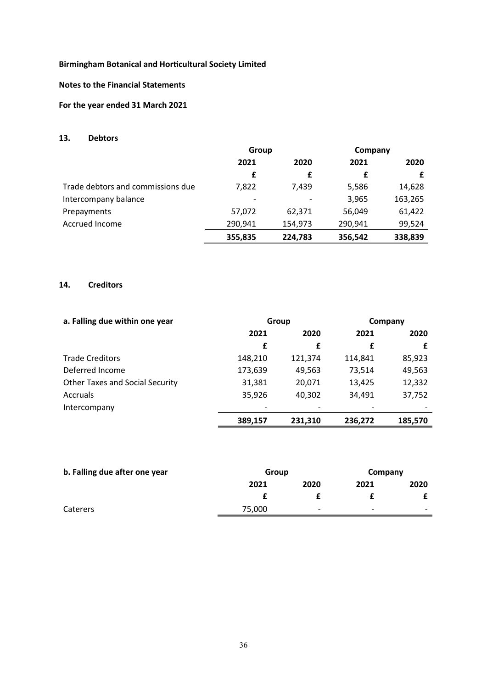### **Notes to the Financial Statements**

# **For the year ended 31 March 2021**

### **13. Debtors**

|                                   | Group   |         | Company |         |
|-----------------------------------|---------|---------|---------|---------|
|                                   | 2021    | 2020    | 2021    | 2020    |
|                                   | £       | £       | £       |         |
| Trade debtors and commissions due | 7,822   | 7,439   | 5,586   | 14,628  |
| Intercompany balance              |         |         | 3,965   | 163,265 |
| Prepayments                       | 57,072  | 62,371  | 56,049  | 61,422  |
| Accrued Income                    | 290,941 | 154,973 | 290,941 | 99,524  |
|                                   | 355,835 | 224,783 | 356,542 | 338,839 |

### **14. Creditors**

| a. Falling due within one year         | Group   |         | Company |         |  |
|----------------------------------------|---------|---------|---------|---------|--|
|                                        | 2021    | 2020    | 2021    | 2020    |  |
|                                        | £       | £       | £       |         |  |
| <b>Trade Creditors</b>                 | 148,210 | 121,374 | 114,841 | 85,923  |  |
| Deferred Income                        | 173,639 | 49,563  | 73,514  | 49,563  |  |
| <b>Other Taxes and Social Security</b> | 31,381  | 20,071  | 13,425  | 12,332  |  |
| <b>Accruals</b>                        | 35,926  | 40,302  | 34,491  | 37,752  |  |
| Intercompany                           |         |         |         |         |  |
|                                        | 389,157 | 231,310 | 236,272 | 185,570 |  |

| b. Falling due after one year | Group  |                          | Company                  |                          |
|-------------------------------|--------|--------------------------|--------------------------|--------------------------|
|                               | 2021   | 2020                     | 2021                     | 2020                     |
|                               |        |                          |                          |                          |
| <b>Caterers</b>               | 75,000 | $\overline{\phantom{0}}$ | $\overline{\phantom{0}}$ | $\overline{\phantom{0}}$ |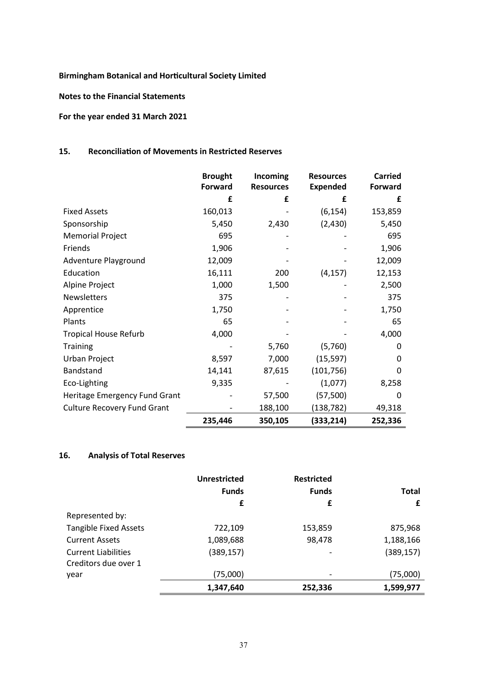**Notes to the Financial Statements**

# **For the year ended 31 March 2021**

# **15. Reconciliation of Movements in Restricted Reserves**

|                                    | <b>Brought</b><br><b>Forward</b> | Incoming<br><b>Resources</b> | <b>Resources</b><br><b>Expended</b> | <b>Carried</b><br>Forward |
|------------------------------------|----------------------------------|------------------------------|-------------------------------------|---------------------------|
|                                    | £                                | £                            | £                                   | £                         |
| <b>Fixed Assets</b>                | 160,013                          |                              | (6, 154)                            | 153,859                   |
| Sponsorship                        | 5,450                            | 2,430                        | (2,430)                             | 5,450                     |
| <b>Memorial Project</b>            | 695                              |                              |                                     | 695                       |
| Friends                            | 1,906                            |                              |                                     | 1,906                     |
| Adventure Playground               | 12,009                           |                              |                                     | 12,009                    |
| Education                          | 16,111                           | 200                          | (4, 157)                            | 12,153                    |
| Alpine Project                     | 1,000                            | 1,500                        |                                     | 2,500                     |
| <b>Newsletters</b>                 | 375                              |                              |                                     | 375                       |
| Apprentice                         | 1,750                            |                              |                                     | 1,750                     |
| Plants                             | 65                               |                              |                                     | 65                        |
| <b>Tropical House Refurb</b>       | 4,000                            |                              |                                     | 4,000                     |
| <b>Training</b>                    |                                  | 5,760                        | (5,760)                             | 0                         |
| Urban Project                      | 8,597                            | 7,000                        | (15, 597)                           | 0                         |
| Bandstand                          | 14,141                           | 87,615                       | (101, 756)                          | 0                         |
| Eco-Lighting                       | 9,335                            |                              | (1,077)                             | 8,258                     |
| Heritage Emergency Fund Grant      |                                  | 57,500                       | (57, 500)                           | 0                         |
| <b>Culture Recovery Fund Grant</b> |                                  | 188,100                      | (138,782)                           | 49,318                    |
|                                    | 235,446                          | 350,105                      | (333,214)                           | 252,336                   |

### **16. Analysis of Total Reserves**

|                              | <b>Unrestricted</b> | <b>Restricted</b>        |              |
|------------------------------|---------------------|--------------------------|--------------|
|                              | <b>Funds</b>        | <b>Funds</b>             | <b>Total</b> |
|                              | £                   | £                        | £            |
| Represented by:              |                     |                          |              |
| <b>Tangible Fixed Assets</b> | 722,109             | 153,859                  | 875,968      |
| <b>Current Assets</b>        | 1,089,688           | 98,478                   | 1,188,166    |
| <b>Current Liabilities</b>   | (389, 157)          | $\overline{\phantom{0}}$ | (389, 157)   |
| Creditors due over 1         |                     |                          |              |
| year                         | (75,000)            |                          | (75,000)     |
|                              | 1,347,640           | 252,336                  | 1,599,977    |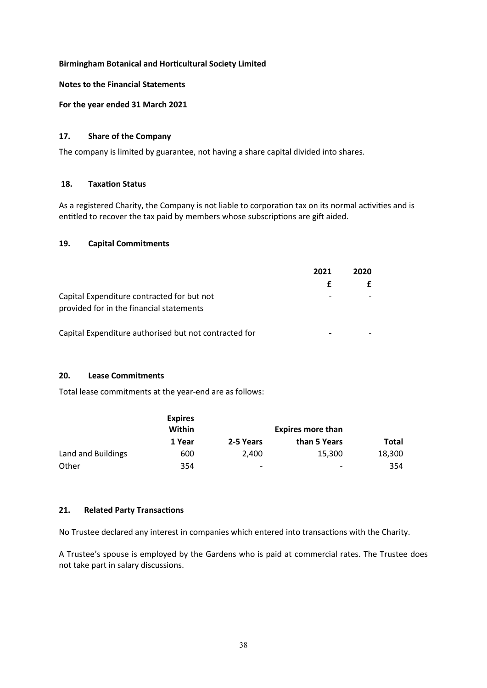### **Notes to the Financial Statements**

**For the year ended 31 March 2021**

### **17. Share of the Company**

The company is limited by guarantee, not having a share capital divided into shares.

### **18. Taxation Status**

As a registered Charity, the Company is not liable to corporation tax on its normal activities and is entitled to recover the tax paid by members whose subscriptions are gift aided.

### **19. Capital Commitments**

|                                                                                        | 2021 | 2020 |
|----------------------------------------------------------------------------------------|------|------|
|                                                                                        | £.   |      |
| Capital Expenditure contracted for but not<br>provided for in the financial statements |      |      |

Capital Expenditure authorised but not contracted for **-** -

### **20. Lease Commitments**

Total lease commitments at the year-end are as follows:

|                    | <b>Expires</b><br>Within |                          | <b>Expires more than</b> |        |
|--------------------|--------------------------|--------------------------|--------------------------|--------|
|                    | 1 Year                   | 2-5 Years                | than 5 Years             | Total  |
| Land and Buildings | 600                      | 2.400                    | 15,300                   | 18,300 |
| Other              | 354                      | $\overline{\phantom{a}}$ | -                        | 354    |

# **21. Related Party Transactions**

No Trustee declared any interest in companies which entered into transactions with the Charity.

A Trustee's spouse is employed by the Gardens who is paid at commercial rates. The Trustee does not take part in salary discussions.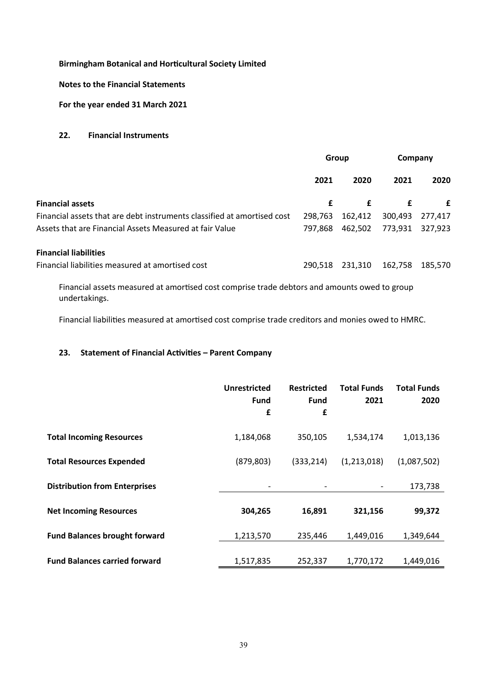### **Notes to the Financial Statements**

**For the year ended 31 March 2021**

### **22. Financial Instruments**

|                                                                         | Group   |         | Company |         |
|-------------------------------------------------------------------------|---------|---------|---------|---------|
|                                                                         | 2021    | 2020    | 2021    | 2020    |
| <b>Financial assets</b>                                                 | £       | £       | £       | £       |
| Financial assets that are debt instruments classified at amortised cost | 298.763 | 162,412 | 300,493 | 277,417 |
| Assets that are Financial Assets Measured at fair Value                 | 797.868 | 462,502 | 773,931 | 327,923 |
| <b>Financial liabilities</b>                                            |         |         |         |         |
| Financial liabilities measured at amortised cost                        | 290.518 | 231,310 | 162,758 | 185,570 |
|                                                                         |         |         |         |         |

Financial assets measured at amortised cost comprise trade debtors and amounts owed to group undertakings.

Financial liabilities measured at amortised cost comprise trade creditors and monies owed to HMRC.

# **23. Statement of Financial Activities – Parent Company**

|                                      | Unrestricted<br><b>Fund</b><br>£ | <b>Restricted</b><br><b>Fund</b><br>£ | <b>Total Funds</b><br>2021 | <b>Total Funds</b><br>2020 |
|--------------------------------------|----------------------------------|---------------------------------------|----------------------------|----------------------------|
| <b>Total Incoming Resources</b>      | 1,184,068                        | 350,105                               | 1,534,174                  | 1,013,136                  |
| <b>Total Resources Expended</b>      | (879, 803)                       | (333, 214)                            | (1,213,018)                | (1,087,502)                |
| <b>Distribution from Enterprises</b> |                                  |                                       |                            | 173,738                    |
| <b>Net Incoming Resources</b>        | 304,265                          | 16,891                                | 321,156                    | 99,372                     |
| <b>Fund Balances brought forward</b> | 1,213,570                        | 235,446                               | 1,449,016                  | 1,349,644                  |
| <b>Fund Balances carried forward</b> | 1,517,835                        | 252,337                               | 1,770,172                  | 1,449,016                  |